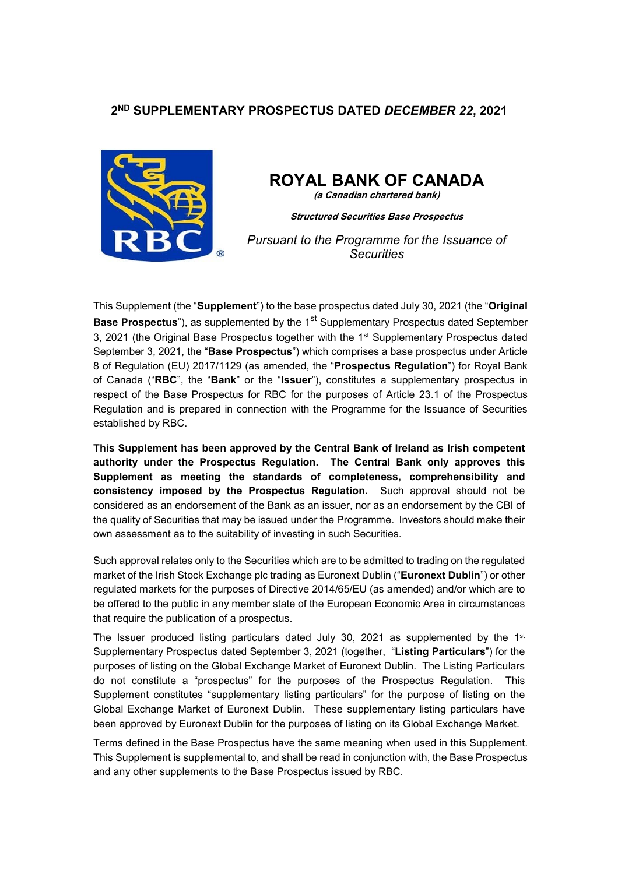# **2ND SUPPLEMENTARY PROSPECTUS DATED** *DECEMBER 22***, 2021**



# **ROYAL BANK OF CANADA**

**(a Canadian chartered bank)**

**Structured Securities Base Prospectus**

*Pursuant to the Programme for the Issuance of Securities* 

This Supplement (the "**Supplement**") to the base prospectus dated July 30, 2021 (the "**Original Base Prospectus**"), as supplemented by the 1<sup>st</sup> Supplementary Prospectus dated September 3, 2021 (the Original Base Prospectus together with the 1st Supplementary Prospectus dated September 3, 2021, the "**Base Prospectus**") which comprises a base prospectus under Article 8 of Regulation (EU) 2017/1129 (as amended, the "**Prospectus Regulation**") for Royal Bank of Canada ("**RBC**", the "**Bank**" or the "**Issuer**"), constitutes a supplementary prospectus in respect of the Base Prospectus for RBC for the purposes of Article 23.1 of the Prospectus Regulation and is prepared in connection with the Programme for the Issuance of Securities established by RBC.

**This Supplement has been approved by the Central Bank of Ireland as Irish competent authority under the Prospectus Regulation. The Central Bank only approves this Supplement as meeting the standards of completeness, comprehensibility and consistency imposed by the Prospectus Regulation.** Such approval should not be considered as an endorsement of the Bank as an issuer, nor as an endorsement by the CBI of the quality of Securities that may be issued under the Programme. Investors should make their own assessment as to the suitability of investing in such Securities.

Such approval relates only to the Securities which are to be admitted to trading on the regulated market of the Irish Stock Exchange plc trading as Euronext Dublin ("**Euronext Dublin**") or other regulated markets for the purposes of Directive 2014/65/EU (as amended) and/or which are to be offered to the public in any member state of the European Economic Area in circumstances that require the publication of a prospectus.

The Issuer produced listing particulars dated July 30, 2021 as supplemented by the  $1<sup>st</sup>$ Supplementary Prospectus dated September 3, 2021 (together, "**Listing Particulars**") for the purposes of listing on the Global Exchange Market of Euronext Dublin. The Listing Particulars do not constitute a "prospectus" for the purposes of the Prospectus Regulation. This Supplement constitutes "supplementary listing particulars" for the purpose of listing on the Global Exchange Market of Euronext Dublin. These supplementary listing particulars have been approved by Euronext Dublin for the purposes of listing on its Global Exchange Market.

Terms defined in the Base Prospectus have the same meaning when used in this Supplement. This Supplement is supplemental to, and shall be read in conjunction with, the Base Prospectus and any other supplements to the Base Prospectus issued by RBC.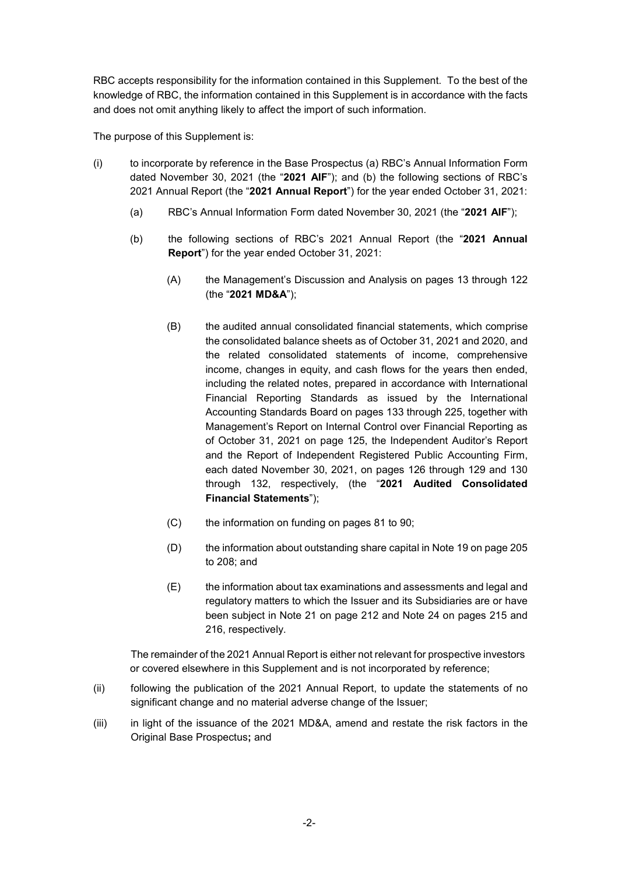RBC accepts responsibility for the information contained in this Supplement. To the best of the knowledge of RBC, the information contained in this Supplement is in accordance with the facts and does not omit anything likely to affect the import of such information.

The purpose of this Supplement is:

- (i) to incorporate by reference in the Base Prospectus (a) RBC's Annual Information Form dated November 30, 2021 (the "**2021 AIF**"); and (b) the following sections of RBC's 2021 Annual Report (the "**2021 Annual Report**") for the year ended October 31, 2021:
	- (a) RBC's Annual Information Form dated November 30, 2021 (the "**2021 AIF**");
	- (b) the following sections of RBC's 2021 Annual Report (the "**2021 Annual Report**") for the year ended October 31, 2021:
		- (A) the Management's Discussion and Analysis on pages 13 through 122 (the "**2021 MD&A**");
		- (B) the audited annual consolidated financial statements, which comprise the consolidated balance sheets as of October 31, 2021 and 2020, and the related consolidated statements of income, comprehensive income, changes in equity, and cash flows for the years then ended, including the related notes, prepared in accordance with International Financial Reporting Standards as issued by the International Accounting Standards Board on pages 133 through 225, together with Management's Report on Internal Control over Financial Reporting as of October 31, 2021 on page 125, the Independent Auditor's Report and the Report of Independent Registered Public Accounting Firm, each dated November 30, 2021, on pages 126 through 129 and 130 through 132, respectively, (the "**2021 Audited Consolidated Financial Statements**");
		- (C) the information on funding on pages 81 to 90;
		- (D) the information about outstanding share capital in Note 19 on page 205 to 208; and
		- (E) the information about tax examinations and assessments and legal and regulatory matters to which the Issuer and its Subsidiaries are or have been subject in Note 21 on page 212 and Note 24 on pages 215 and 216, respectively.

 The remainder of the 2021 Annual Report is either not relevant for prospective investors or covered elsewhere in this Supplement and is not incorporated by reference;

- (ii) following the publication of the 2021 Annual Report, to update the statements of no significant change and no material adverse change of the Issuer:
- (iii) in light of the issuance of the 2021 MD&A, amend and restate the risk factors in the Original Base Prospectus**;** and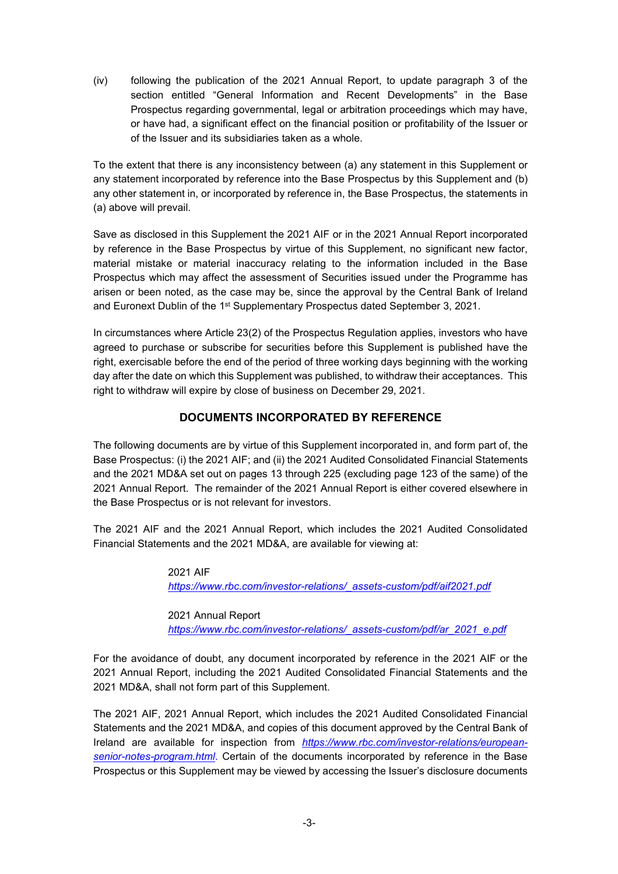(iv) following the publication of the 2021 Annual Report, to update paragraph 3 of the section entitled "General Information and Recent Developments" in the Base Prospectus regarding governmental, legal or arbitration proceedings which may have, or have had, a significant effect on the financial position or profitability of the Issuer or of the Issuer and its subsidiaries taken as a whole.

To the extent that there is any inconsistency between (a) any statement in this Supplement or any statement incorporated by reference into the Base Prospectus by this Supplement and (b) any other statement in, or incorporated by reference in, the Base Prospectus, the statements in (a) above will prevail.

Save as disclosed in this Supplement the 2021 AIF or in the 2021 Annual Report incorporated by reference in the Base Prospectus by virtue of this Supplement, no significant new factor, material mistake or material inaccuracy relating to the information included in the Base Prospectus which may affect the assessment of Securities issued under the Programme has arisen or been noted, as the case may be, since the approval by the Central Bank of Ireland and Euronext Dublin of the 1<sup>st</sup> Supplementary Prospectus dated September 3, 2021.

In circumstances where Article 23(2) of the Prospectus Regulation applies, investors who have agreed to purchase or subscribe for securities before this Supplement is published have the right, exercisable before the end of the period of three working days beginning with the working day after the date on which this Supplement was published, to withdraw their acceptances. This right to withdraw will expire by close of business on December 29, 2021.

# **DOCUMENTS INCORPORATED BY REFERENCE**

The following documents are by virtue of this Supplement incorporated in, and form part of, the Base Prospectus: (i) the 2021 AIF; and (ii) the 2021 Audited Consolidated Financial Statements and the 2021 MD&A set out on pages 13 through 225 (excluding page 123 of the same) of the 2021 Annual Report. The remainder of the 2021 Annual Report is either covered elsewhere in the Base Prospectus or is not relevant for investors.

The 2021 AIF and the 2021 Annual Report, which includes the 2021 Audited Consolidated Financial Statements and the 2021 MD&A, are available for viewing at:

> 2021 AIF  *https://www.rbc.com/investor-relations/\_assets-custom/pdf/aif2021.pdf*

2021 Annual Report

 *https://www.rbc.com/investor-relations/\_assets-custom/pdf/ar\_2021\_e.pdf* 

For the avoidance of doubt, any document incorporated by reference in the 2021 AIF or the 2021 Annual Report, including the 2021 Audited Consolidated Financial Statements and the 2021 MD&A, shall not form part of this Supplement.

The 2021 AIF, 2021 Annual Report, which includes the 2021 Audited Consolidated Financial Statements and the 2021 MD&A, and copies of this document approved by the Central Bank of Ireland are available for inspection from *https://www.rbc.com/investor-relations/europeansenior-notes-program.html*. Certain of the documents incorporated by reference in the Base Prospectus or this Supplement may be viewed by accessing the Issuer's disclosure documents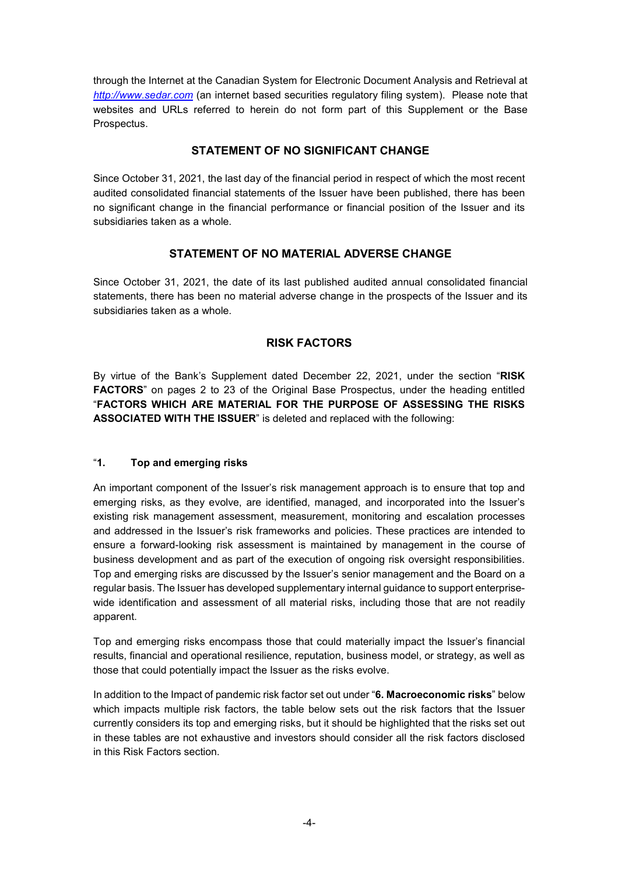through the Internet at the Canadian System for Electronic Document Analysis and Retrieval at *http://www.sedar.com* (an internet based securities regulatory filing system). Please note that websites and URLs referred to herein do not form part of this Supplement or the Base Prospectus.

### **STATEMENT OF NO SIGNIFICANT CHANGE**

Since October 31, 2021, the last day of the financial period in respect of which the most recent audited consolidated financial statements of the Issuer have been published, there has been no significant change in the financial performance or financial position of the Issuer and its subsidiaries taken as a whole.

# **STATEMENT OF NO MATERIAL ADVERSE CHANGE**

Since October 31, 2021, the date of its last published audited annual consolidated financial statements, there has been no material adverse change in the prospects of the Issuer and its subsidiaries taken as a whole.

# **RISK FACTORS**

By virtue of the Bank's Supplement dated December 22, 2021, under the section "**RISK FACTORS**" on pages 2 to 23 of the Original Base Prospectus, under the heading entitled "**FACTORS WHICH ARE MATERIAL FOR THE PURPOSE OF ASSESSING THE RISKS ASSOCIATED WITH THE ISSUER**" is deleted and replaced with the following:

### "**1. Top and emerging risks**

An important component of the Issuer's risk management approach is to ensure that top and emerging risks, as they evolve, are identified, managed, and incorporated into the Issuer's existing risk management assessment, measurement, monitoring and escalation processes and addressed in the Issuer's risk frameworks and policies. These practices are intended to ensure a forward-looking risk assessment is maintained by management in the course of business development and as part of the execution of ongoing risk oversight responsibilities. Top and emerging risks are discussed by the Issuer's senior management and the Board on a regular basis. The Issuer has developed supplementary internal guidance to support enterprisewide identification and assessment of all material risks, including those that are not readily apparent.

Top and emerging risks encompass those that could materially impact the Issuer's financial results, financial and operational resilience, reputation, business model, or strategy, as well as those that could potentially impact the Issuer as the risks evolve.

In addition to the Impact of pandemic risk factor set out under "**6. Macroeconomic risks**" below which impacts multiple risk factors, the table below sets out the risk factors that the Issuer currently considers its top and emerging risks, but it should be highlighted that the risks set out in these tables are not exhaustive and investors should consider all the risk factors disclosed in this Risk Factors section.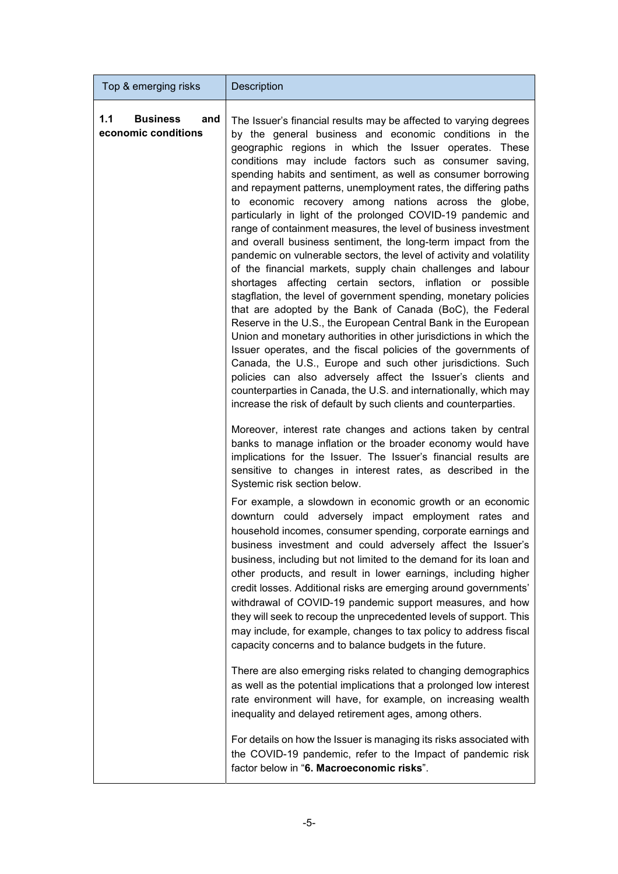| Top & emerging risks                                 | <b>Description</b>                                                                                                                                                                                                                                                                                                                                                                                                                                                                                                                                                                                                                                                                                                                                                                                                                                                                                                                                                                                                                                                                                                                                                                                                                                                                                                                                                                                                                                                      |
|------------------------------------------------------|-------------------------------------------------------------------------------------------------------------------------------------------------------------------------------------------------------------------------------------------------------------------------------------------------------------------------------------------------------------------------------------------------------------------------------------------------------------------------------------------------------------------------------------------------------------------------------------------------------------------------------------------------------------------------------------------------------------------------------------------------------------------------------------------------------------------------------------------------------------------------------------------------------------------------------------------------------------------------------------------------------------------------------------------------------------------------------------------------------------------------------------------------------------------------------------------------------------------------------------------------------------------------------------------------------------------------------------------------------------------------------------------------------------------------------------------------------------------------|
| <b>Business</b><br>1.1<br>and<br>economic conditions | The Issuer's financial results may be affected to varying degrees<br>by the general business and economic conditions in the<br>geographic regions in which the Issuer operates. These<br>conditions may include factors such as consumer saving,<br>spending habits and sentiment, as well as consumer borrowing<br>and repayment patterns, unemployment rates, the differing paths<br>to economic recovery among nations across the globe,<br>particularly in light of the prolonged COVID-19 pandemic and<br>range of containment measures, the level of business investment<br>and overall business sentiment, the long-term impact from the<br>pandemic on vulnerable sectors, the level of activity and volatility<br>of the financial markets, supply chain challenges and labour<br>shortages affecting certain sectors, inflation or possible<br>stagflation, the level of government spending, monetary policies<br>that are adopted by the Bank of Canada (BoC), the Federal<br>Reserve in the U.S., the European Central Bank in the European<br>Union and monetary authorities in other jurisdictions in which the<br>Issuer operates, and the fiscal policies of the governments of<br>Canada, the U.S., Europe and such other jurisdictions. Such<br>policies can also adversely affect the Issuer's clients and<br>counterparties in Canada, the U.S. and internationally, which may<br>increase the risk of default by such clients and counterparties. |
|                                                      | Moreover, interest rate changes and actions taken by central<br>banks to manage inflation or the broader economy would have<br>implications for the Issuer. The Issuer's financial results are<br>sensitive to changes in interest rates, as described in the<br>Systemic risk section below.                                                                                                                                                                                                                                                                                                                                                                                                                                                                                                                                                                                                                                                                                                                                                                                                                                                                                                                                                                                                                                                                                                                                                                           |
|                                                      | For example, a slowdown in economic growth or an economic<br>downturn could adversely impact employment rates and<br>household incomes, consumer spending, corporate earnings and<br>business investment and could adversely affect the Issuer's<br>business, including but not limited to the demand for its loan and<br>other products, and result in lower earnings, including higher<br>credit losses. Additional risks are emerging around governments'<br>withdrawal of COVID-19 pandemic support measures, and how<br>they will seek to recoup the unprecedented levels of support. This<br>may include, for example, changes to tax policy to address fiscal<br>capacity concerns and to balance budgets in the future.                                                                                                                                                                                                                                                                                                                                                                                                                                                                                                                                                                                                                                                                                                                                         |
|                                                      | There are also emerging risks related to changing demographics<br>as well as the potential implications that a prolonged low interest<br>rate environment will have, for example, on increasing wealth<br>inequality and delayed retirement ages, among others.                                                                                                                                                                                                                                                                                                                                                                                                                                                                                                                                                                                                                                                                                                                                                                                                                                                                                                                                                                                                                                                                                                                                                                                                         |
|                                                      | For details on how the Issuer is managing its risks associated with<br>the COVID-19 pandemic, refer to the Impact of pandemic risk<br>factor below in "6. Macroeconomic risks".                                                                                                                                                                                                                                                                                                                                                                                                                                                                                                                                                                                                                                                                                                                                                                                                                                                                                                                                                                                                                                                                                                                                                                                                                                                                                         |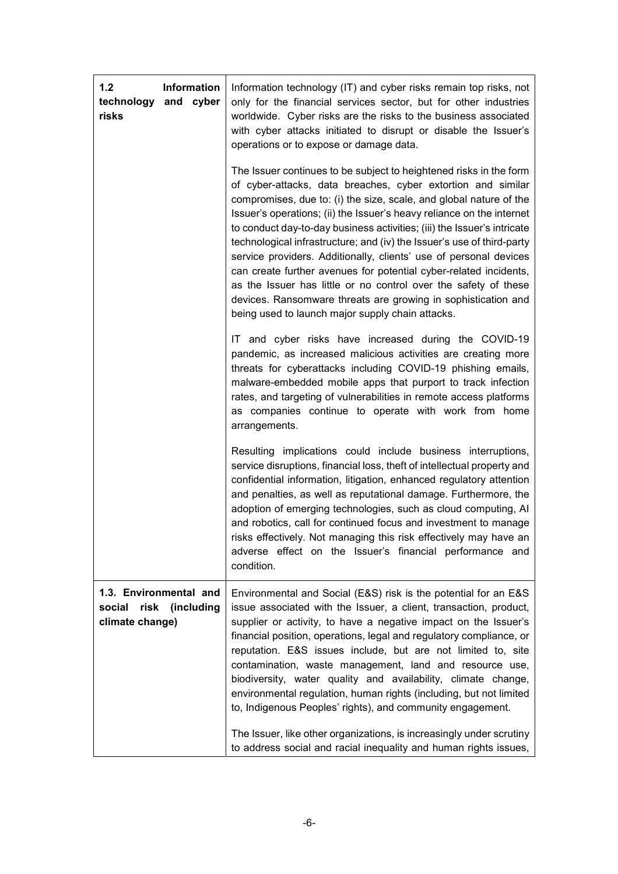| 1.2<br>Information<br>and cyber<br>technology<br>risks                    | Information technology (IT) and cyber risks remain top risks, not<br>only for the financial services sector, but for other industries<br>worldwide. Cyber risks are the risks to the business associated<br>with cyber attacks initiated to disrupt or disable the Issuer's<br>operations or to expose or damage data.                                                                                                                                                                                                                                                                                                                                                                                                                                                   |
|---------------------------------------------------------------------------|--------------------------------------------------------------------------------------------------------------------------------------------------------------------------------------------------------------------------------------------------------------------------------------------------------------------------------------------------------------------------------------------------------------------------------------------------------------------------------------------------------------------------------------------------------------------------------------------------------------------------------------------------------------------------------------------------------------------------------------------------------------------------|
|                                                                           | The Issuer continues to be subject to heightened risks in the form<br>of cyber-attacks, data breaches, cyber extortion and similar<br>compromises, due to: (i) the size, scale, and global nature of the<br>Issuer's operations; (ii) the Issuer's heavy reliance on the internet<br>to conduct day-to-day business activities; (iii) the Issuer's intricate<br>technological infrastructure; and (iv) the Issuer's use of third-party<br>service providers. Additionally, clients' use of personal devices<br>can create further avenues for potential cyber-related incidents,<br>as the Issuer has little or no control over the safety of these<br>devices. Ransomware threats are growing in sophistication and<br>being used to launch major supply chain attacks. |
|                                                                           | IT and cyber risks have increased during the COVID-19<br>pandemic, as increased malicious activities are creating more<br>threats for cyberattacks including COVID-19 phishing emails,<br>malware-embedded mobile apps that purport to track infection<br>rates, and targeting of vulnerabilities in remote access platforms<br>as companies continue to operate with work from home<br>arrangements.                                                                                                                                                                                                                                                                                                                                                                    |
|                                                                           | Resulting implications could include business interruptions,<br>service disruptions, financial loss, theft of intellectual property and<br>confidential information, litigation, enhanced regulatory attention<br>and penalties, as well as reputational damage. Furthermore, the<br>adoption of emerging technologies, such as cloud computing, AI<br>and robotics, call for continued focus and investment to manage<br>risks effectively. Not managing this risk effectively may have an<br>adverse effect on the Issuer's financial performance and<br>condition.                                                                                                                                                                                                    |
| 1.3. Environmental and<br>(including<br>social<br>risk<br>climate change) | Environmental and Social (E&S) risk is the potential for an E&S<br>issue associated with the Issuer, a client, transaction, product,<br>supplier or activity, to have a negative impact on the Issuer's<br>financial position, operations, legal and regulatory compliance, or<br>reputation. E&S issues include, but are not limited to, site<br>contamination, waste management, land and resource use,<br>biodiversity, water quality and availability, climate change,<br>environmental regulation, human rights (including, but not limited<br>to, Indigenous Peoples' rights), and community engagement.<br>The Issuer, like other organizations, is increasingly under scrutiny                                                                                   |
|                                                                           | to address social and racial inequality and human rights issues,                                                                                                                                                                                                                                                                                                                                                                                                                                                                                                                                                                                                                                                                                                         |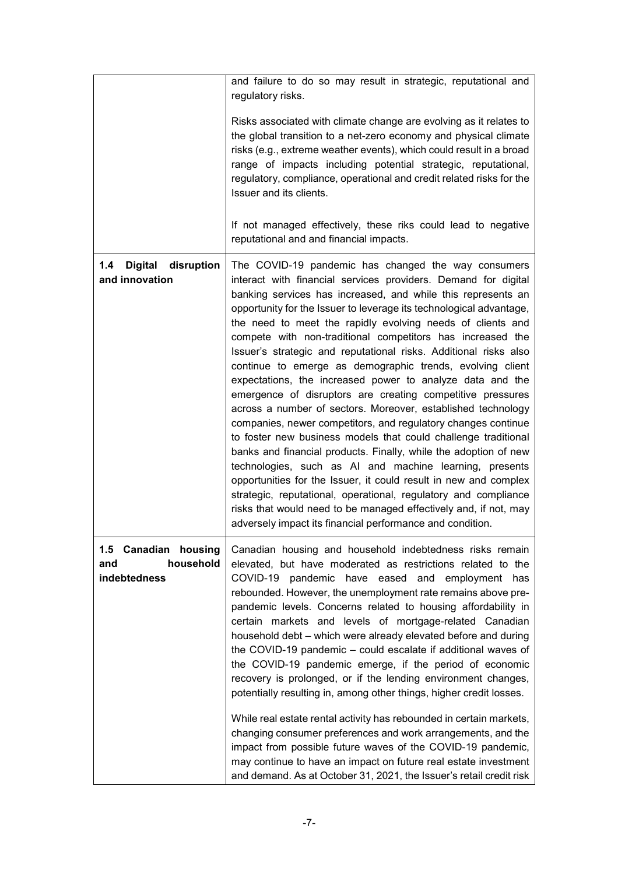|                                                          | and failure to do so may result in strategic, reputational and<br>regulatory risks.                                                                                                                                                                                                                                                                                                                                                                                                                                                                                                                                                                                                                                                                                                                                                                                                                                                                                                                                                                                                                                                                                                                                                                            |
|----------------------------------------------------------|----------------------------------------------------------------------------------------------------------------------------------------------------------------------------------------------------------------------------------------------------------------------------------------------------------------------------------------------------------------------------------------------------------------------------------------------------------------------------------------------------------------------------------------------------------------------------------------------------------------------------------------------------------------------------------------------------------------------------------------------------------------------------------------------------------------------------------------------------------------------------------------------------------------------------------------------------------------------------------------------------------------------------------------------------------------------------------------------------------------------------------------------------------------------------------------------------------------------------------------------------------------|
|                                                          | Risks associated with climate change are evolving as it relates to<br>the global transition to a net-zero economy and physical climate<br>risks (e.g., extreme weather events), which could result in a broad<br>range of impacts including potential strategic, reputational,<br>regulatory, compliance, operational and credit related risks for the<br>Issuer and its clients.                                                                                                                                                                                                                                                                                                                                                                                                                                                                                                                                                                                                                                                                                                                                                                                                                                                                              |
|                                                          | If not managed effectively, these riks could lead to negative<br>reputational and and financial impacts.                                                                                                                                                                                                                                                                                                                                                                                                                                                                                                                                                                                                                                                                                                                                                                                                                                                                                                                                                                                                                                                                                                                                                       |
| <b>Digital</b><br>1.4<br>disruption<br>and innovation    | The COVID-19 pandemic has changed the way consumers<br>interact with financial services providers. Demand for digital<br>banking services has increased, and while this represents an<br>opportunity for the Issuer to leverage its technological advantage,<br>the need to meet the rapidly evolving needs of clients and<br>compete with non-traditional competitors has increased the<br>Issuer's strategic and reputational risks. Additional risks also<br>continue to emerge as demographic trends, evolving client<br>expectations, the increased power to analyze data and the<br>emergence of disruptors are creating competitive pressures<br>across a number of sectors. Moreover, established technology<br>companies, newer competitors, and regulatory changes continue<br>to foster new business models that could challenge traditional<br>banks and financial products. Finally, while the adoption of new<br>technologies, such as AI and machine learning, presents<br>opportunities for the Issuer, it could result in new and complex<br>strategic, reputational, operational, regulatory and compliance<br>risks that would need to be managed effectively and, if not, may<br>adversely impact its financial performance and condition. |
| 1.5 Canadian housing<br>household<br>and<br>indebtedness | Canadian housing and household indebtedness risks remain<br>elevated, but have moderated as restrictions related to the<br>COVID-19 pandemic have eased and employment has<br>rebounded. However, the unemployment rate remains above pre-<br>pandemic levels. Concerns related to housing affordability in<br>certain markets and levels of mortgage-related Canadian<br>household debt - which were already elevated before and during<br>the COVID-19 pandemic – could escalate if additional waves of<br>the COVID-19 pandemic emerge, if the period of economic<br>recovery is prolonged, or if the lending environment changes,<br>potentially resulting in, among other things, higher credit losses.<br>While real estate rental activity has rebounded in certain markets,<br>changing consumer preferences and work arrangements, and the<br>impact from possible future waves of the COVID-19 pandemic,<br>may continue to have an impact on future real estate investment<br>and demand. As at October 31, 2021, the Issuer's retail credit risk                                                                                                                                                                                                   |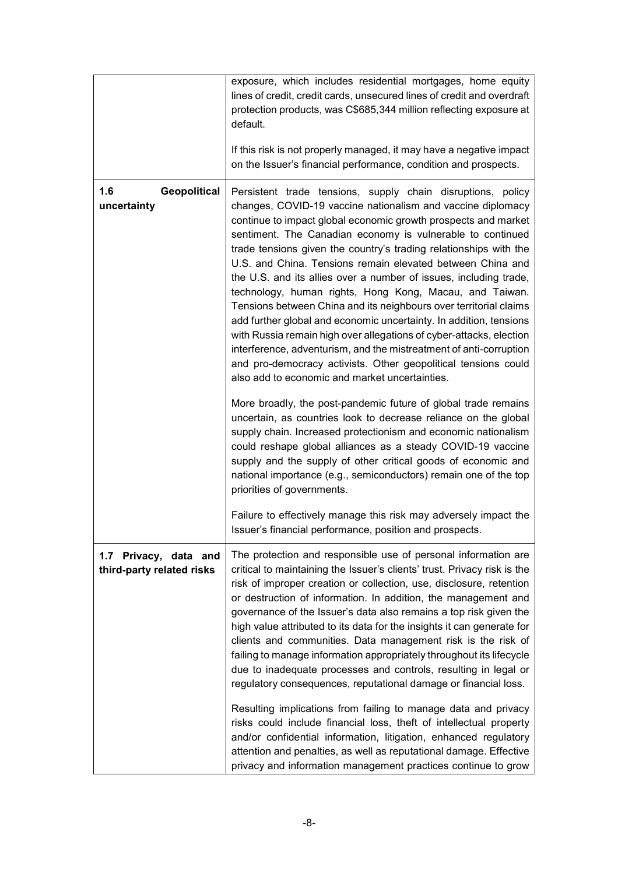|                                                    | exposure, which includes residential mortgages, home equity<br>lines of credit, credit cards, unsecured lines of credit and overdraft<br>protection products, was C\$685,344 million reflecting exposure at<br>default.<br>If this risk is not properly managed, it may have a negative impact<br>on the Issuer's financial performance, condition and prospects.                                                                                                                                                                                                                                                                                                                                                                                                                                                                                                                                                                                                                                                                                                                                                                                                                                                                                                                                                                                                                  |
|----------------------------------------------------|------------------------------------------------------------------------------------------------------------------------------------------------------------------------------------------------------------------------------------------------------------------------------------------------------------------------------------------------------------------------------------------------------------------------------------------------------------------------------------------------------------------------------------------------------------------------------------------------------------------------------------------------------------------------------------------------------------------------------------------------------------------------------------------------------------------------------------------------------------------------------------------------------------------------------------------------------------------------------------------------------------------------------------------------------------------------------------------------------------------------------------------------------------------------------------------------------------------------------------------------------------------------------------------------------------------------------------------------------------------------------------|
| 1.6<br><b>Geopolitical</b><br>uncertainty          | Persistent trade tensions, supply chain disruptions, policy<br>changes, COVID-19 vaccine nationalism and vaccine diplomacy<br>continue to impact global economic growth prospects and market<br>sentiment. The Canadian economy is vulnerable to continued<br>trade tensions given the country's trading relationships with the<br>U.S. and China. Tensions remain elevated between China and<br>the U.S. and its allies over a number of issues, including trade,<br>technology, human rights, Hong Kong, Macau, and Taiwan.<br>Tensions between China and its neighbours over territorial claims<br>add further global and economic uncertainty. In addition, tensions<br>with Russia remain high over allegations of cyber-attacks, election<br>interference, adventurism, and the mistreatment of anti-corruption<br>and pro-democracy activists. Other geopolitical tensions could<br>also add to economic and market uncertainties.<br>More broadly, the post-pandemic future of global trade remains<br>uncertain, as countries look to decrease reliance on the global<br>supply chain. Increased protectionism and economic nationalism<br>could reshape global alliances as a steady COVID-19 vaccine<br>supply and the supply of other critical goods of economic and<br>national importance (e.g., semiconductors) remain one of the top<br>priorities of governments. |
|                                                    | Failure to effectively manage this risk may adversely impact the<br>Issuer's financial performance, position and prospects.                                                                                                                                                                                                                                                                                                                                                                                                                                                                                                                                                                                                                                                                                                                                                                                                                                                                                                                                                                                                                                                                                                                                                                                                                                                        |
| 1.7 Privacy, data and<br>third-party related risks | The protection and responsible use of personal information are<br>critical to maintaining the Issuer's clients' trust. Privacy risk is the<br>risk of improper creation or collection, use, disclosure, retention<br>or destruction of information. In addition, the management and<br>governance of the Issuer's data also remains a top risk given the<br>high value attributed to its data for the insights it can generate for<br>clients and communities. Data management risk is the risk of<br>failing to manage information appropriately throughout its lifecycle<br>due to inadequate processes and controls, resulting in legal or<br>regulatory consequences, reputational damage or financial loss.<br>Resulting implications from failing to manage data and privacy<br>risks could include financial loss, theft of intellectual property<br>and/or confidential information, litigation, enhanced regulatory<br>attention and penalties, as well as reputational damage. Effective<br>privacy and information management practices continue to grow                                                                                                                                                                                                                                                                                                                |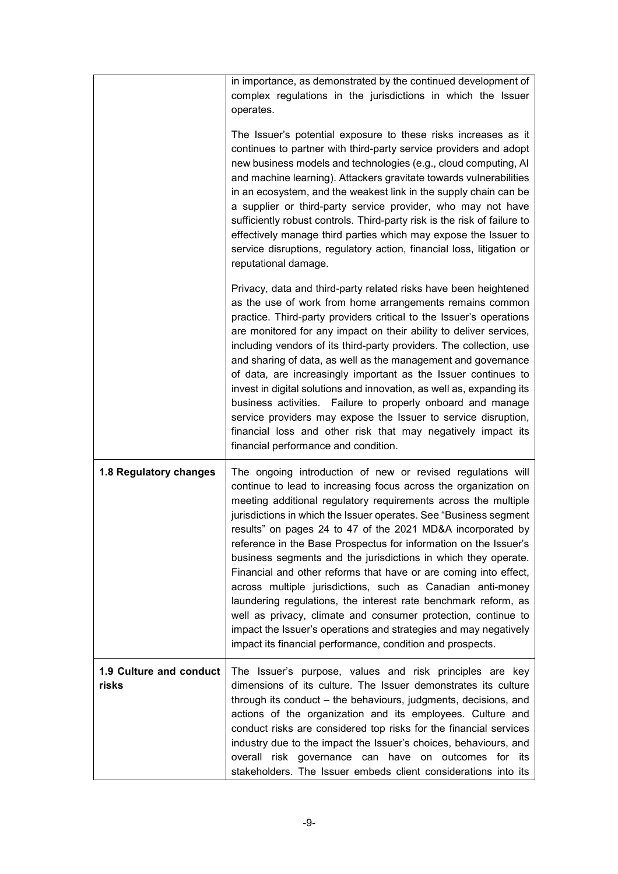|                                  | in importance, as demonstrated by the continued development of<br>complex regulations in the jurisdictions in which the Issuer<br>operates.<br>The Issuer's potential exposure to these risks increases as it                                                                                                                                                                                                                                                                                                                                                                                                                                                                                                                                                                                                                                                                     |
|----------------------------------|-----------------------------------------------------------------------------------------------------------------------------------------------------------------------------------------------------------------------------------------------------------------------------------------------------------------------------------------------------------------------------------------------------------------------------------------------------------------------------------------------------------------------------------------------------------------------------------------------------------------------------------------------------------------------------------------------------------------------------------------------------------------------------------------------------------------------------------------------------------------------------------|
|                                  | continues to partner with third-party service providers and adopt<br>new business models and technologies (e.g., cloud computing, AI<br>and machine learning). Attackers gravitate towards vulnerabilities<br>in an ecosystem, and the weakest link in the supply chain can be<br>a supplier or third-party service provider, who may not have<br>sufficiently robust controls. Third-party risk is the risk of failure to<br>effectively manage third parties which may expose the Issuer to<br>service disruptions, regulatory action, financial loss, litigation or<br>reputational damage.                                                                                                                                                                                                                                                                                    |
|                                  | Privacy, data and third-party related risks have been heightened<br>as the use of work from home arrangements remains common<br>practice. Third-party providers critical to the Issuer's operations<br>are monitored for any impact on their ability to deliver services,<br>including vendors of its third-party providers. The collection, use<br>and sharing of data, as well as the management and governance<br>of data, are increasingly important as the Issuer continues to<br>invest in digital solutions and innovation, as well as, expanding its<br>business activities. Failure to properly onboard and manage<br>service providers may expose the Issuer to service disruption,<br>financial loss and other risk that may negatively impact its<br>financial performance and condition.                                                                             |
| 1.8 Regulatory changes           | The ongoing introduction of new or revised regulations will<br>continue to lead to increasing focus across the organization on<br>meeting additional regulatory requirements across the multiple<br>jurisdictions in which the Issuer operates. See "Business segment<br>results" on pages 24 to 47 of the 2021 MD&A incorporated by<br>reference in the Base Prospectus for information on the Issuer's<br>business segments and the jurisdictions in which they operate.<br>Financial and other reforms that have or are coming into effect,<br>across multiple jurisdictions, such as Canadian anti-money<br>laundering regulations, the interest rate benchmark reform, as<br>well as privacy, climate and consumer protection, continue to<br>impact the Issuer's operations and strategies and may negatively<br>impact its financial performance, condition and prospects. |
| 1.9 Culture and conduct<br>risks | The Issuer's purpose, values and risk principles are key<br>dimensions of its culture. The Issuer demonstrates its culture<br>through its conduct – the behaviours, judgments, decisions, and<br>actions of the organization and its employees. Culture and<br>conduct risks are considered top risks for the financial services<br>industry due to the impact the Issuer's choices, behaviours, and<br>overall risk governance can have on outcomes for its<br>stakeholders. The Issuer embeds client considerations into its                                                                                                                                                                                                                                                                                                                                                    |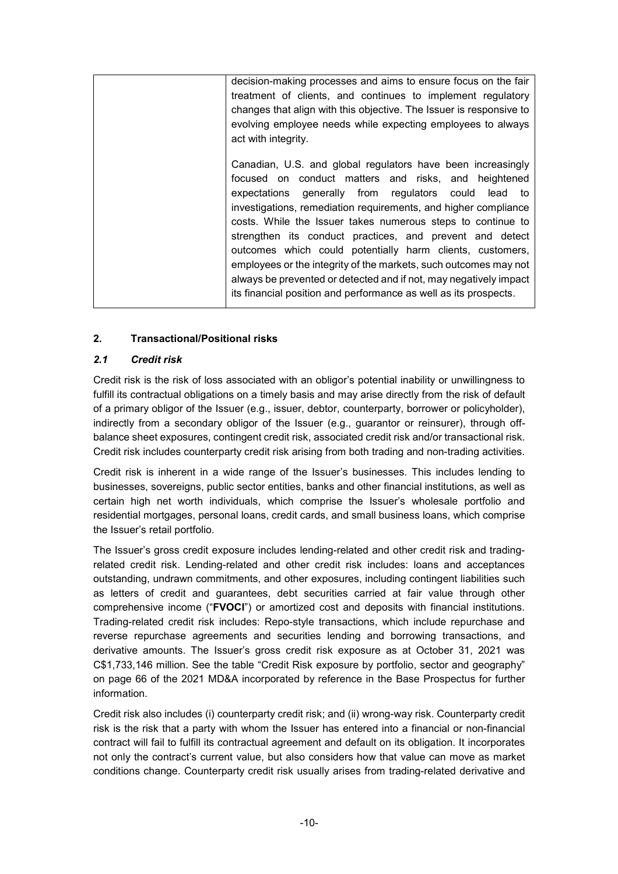| decision-making processes and aims to ensure focus on the fair      |
|---------------------------------------------------------------------|
| treatment of clients, and continues to implement regulatory         |
| changes that align with this objective. The Issuer is responsive to |
| evolving employee needs while expecting employees to always         |
| act with integrity.                                                 |
|                                                                     |
| Canadian, U.S. and global regulators have been increasingly         |
| focused on conduct matters and risks, and heightened                |
| expectations generally from regulators could lead to                |
| investigations, remediation requirements, and higher compliance     |
| costs. While the Issuer takes numerous steps to continue to         |
| strengthen its conduct practices, and prevent and detect            |
| outcomes which could potentially harm clients, customers,           |
| employees or the integrity of the markets, such outcomes may not    |
| always be prevented or detected and if not, may negatively impact   |
| its financial position and performance as well as its prospects.    |
|                                                                     |

# **2. Transactional/Positional risks**

### *2.1 Credit risk*

Credit risk is the risk of loss associated with an obligor's potential inability or unwillingness to fulfill its contractual obligations on a timely basis and may arise directly from the risk of default of a primary obligor of the Issuer (e.g., issuer, debtor, counterparty, borrower or policyholder), indirectly from a secondary obligor of the Issuer (e.g., guarantor or reinsurer), through offbalance sheet exposures, contingent credit risk, associated credit risk and/or transactional risk. Credit risk includes counterparty credit risk arising from both trading and non-trading activities.

Credit risk is inherent in a wide range of the Issuer's businesses. This includes lending to businesses, sovereigns, public sector entities, banks and other financial institutions, as well as certain high net worth individuals, which comprise the Issuer's wholesale portfolio and residential mortgages, personal loans, credit cards, and small business loans, which comprise the Issuer's retail portfolio.

The Issuer's gross credit exposure includes lending-related and other credit risk and tradingrelated credit risk. Lending-related and other credit risk includes: loans and acceptances outstanding, undrawn commitments, and other exposures, including contingent liabilities such as letters of credit and guarantees, debt securities carried at fair value through other comprehensive income ("**FVOCI**") or amortized cost and deposits with financial institutions. Trading-related credit risk includes: Repo-style transactions, which include repurchase and reverse repurchase agreements and securities lending and borrowing transactions, and derivative amounts. The Issuer's gross credit risk exposure as at October 31, 2021 was C\$1,733,146 million. See the table "Credit Risk exposure by portfolio, sector and geography" on page 66 of the 2021 MD&A incorporated by reference in the Base Prospectus for further information.

Credit risk also includes (i) counterparty credit risk; and (ii) wrong-way risk. Counterparty credit risk is the risk that a party with whom the Issuer has entered into a financial or non-financial contract will fail to fulfill its contractual agreement and default on its obligation. It incorporates not only the contract's current value, but also considers how that value can move as market conditions change. Counterparty credit risk usually arises from trading-related derivative and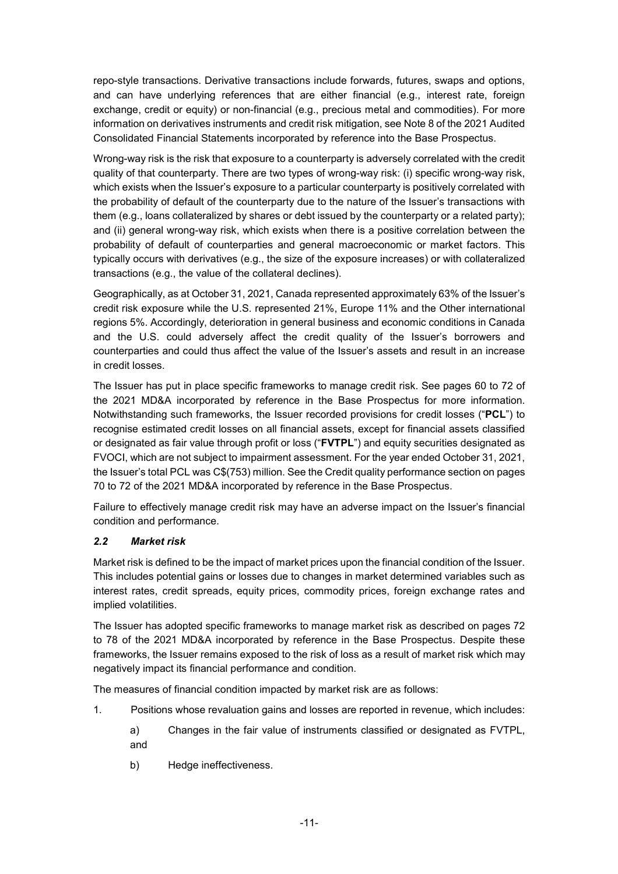repo-style transactions. Derivative transactions include forwards, futures, swaps and options, and can have underlying references that are either financial (e.g., interest rate, foreign exchange, credit or equity) or non-financial (e.g., precious metal and commodities). For more information on derivatives instruments and credit risk mitigation, see Note 8 of the 2021 Audited Consolidated Financial Statements incorporated by reference into the Base Prospectus.

Wrong-way risk is the risk that exposure to a counterparty is adversely correlated with the credit quality of that counterparty. There are two types of wrong-way risk: (i) specific wrong-way risk, which exists when the Issuer's exposure to a particular counterparty is positively correlated with the probability of default of the counterparty due to the nature of the Issuer's transactions with them (e.g., loans collateralized by shares or debt issued by the counterparty or a related party); and (ii) general wrong-way risk, which exists when there is a positive correlation between the probability of default of counterparties and general macroeconomic or market factors. This typically occurs with derivatives (e.g., the size of the exposure increases) or with collateralized transactions (e.g., the value of the collateral declines).

Geographically, as at October 31, 2021, Canada represented approximately 63% of the Issuer's credit risk exposure while the U.S. represented 21%, Europe 11% and the Other international regions 5%. Accordingly, deterioration in general business and economic conditions in Canada and the U.S. could adversely affect the credit quality of the Issuer's borrowers and counterparties and could thus affect the value of the Issuer's assets and result in an increase in credit losses.

The Issuer has put in place specific frameworks to manage credit risk. See pages 60 to 72 of the 2021 MD&A incorporated by reference in the Base Prospectus for more information. Notwithstanding such frameworks, the Issuer recorded provisions for credit losses ("**PCL**") to recognise estimated credit losses on all financial assets, except for financial assets classified or designated as fair value through profit or loss ("**FVTPL**") and equity securities designated as FVOCI, which are not subject to impairment assessment. For the year ended October 31, 2021, the Issuer's total PCL was C\$(753) million. See the Credit quality performance section on pages 70 to 72 of the 2021 MD&A incorporated by reference in the Base Prospectus.

Failure to effectively manage credit risk may have an adverse impact on the Issuer's financial condition and performance.

### *2.2 Market risk*

Market risk is defined to be the impact of market prices upon the financial condition of the Issuer. This includes potential gains or losses due to changes in market determined variables such as interest rates, credit spreads, equity prices, commodity prices, foreign exchange rates and implied volatilities.

The Issuer has adopted specific frameworks to manage market risk as described on pages 72 to 78 of the 2021 MD&A incorporated by reference in the Base Prospectus. Despite these frameworks, the Issuer remains exposed to the risk of loss as a result of market risk which may negatively impact its financial performance and condition.

The measures of financial condition impacted by market risk are as follows:

- 1. Positions whose revaluation gains and losses are reported in revenue, which includes:
	- a) Changes in the fair value of instruments classified or designated as FVTPL, and
	- b) Hedge ineffectiveness.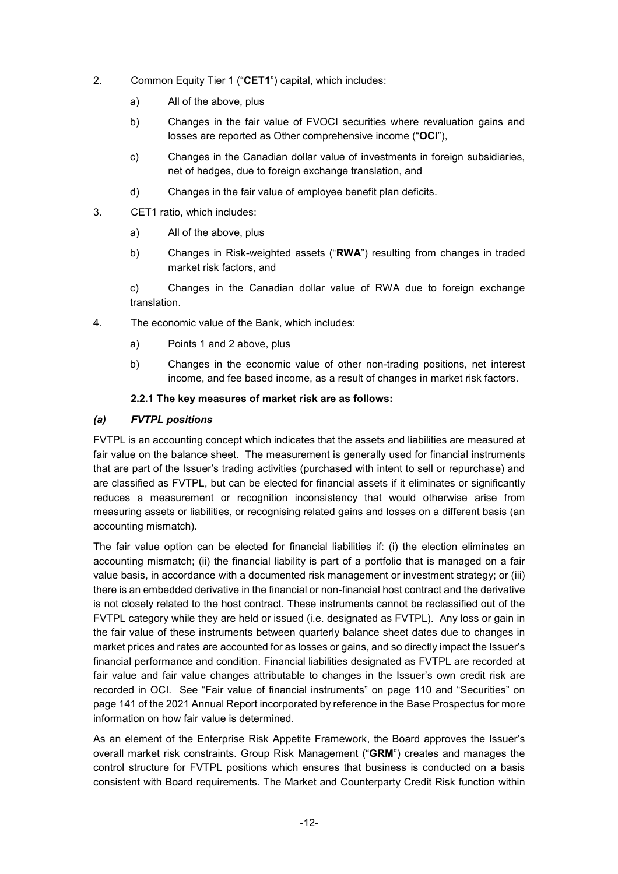- 2. Common Equity Tier 1 ("**CET1**") capital, which includes:
	- a) All of the above, plus
	- b) Changes in the fair value of FVOCI securities where revaluation gains and losses are reported as Other comprehensive income ("**OCI**"),
	- c) Changes in the Canadian dollar value of investments in foreign subsidiaries, net of hedges, due to foreign exchange translation, and
	- d) Changes in the fair value of employee benefit plan deficits.
- 3. CET1 ratio, which includes:
	- a) All of the above, plus
	- b) Changes in Risk-weighted assets ("**RWA**") resulting from changes in traded market risk factors, and

c) Changes in the Canadian dollar value of RWA due to foreign exchange translation.

- 4. The economic value of the Bank, which includes:
	- a) Points 1 and 2 above, plus
	- b) Changes in the economic value of other non-trading positions, net interest income, and fee based income, as a result of changes in market risk factors.

#### **2.2.1 The key measures of market risk are as follows:**

#### *(a) FVTPL positions*

FVTPL is an accounting concept which indicates that the assets and liabilities are measured at fair value on the balance sheet. The measurement is generally used for financial instruments that are part of the Issuer's trading activities (purchased with intent to sell or repurchase) and are classified as FVTPL, but can be elected for financial assets if it eliminates or significantly reduces a measurement or recognition inconsistency that would otherwise arise from measuring assets or liabilities, or recognising related gains and losses on a different basis (an accounting mismatch).

The fair value option can be elected for financial liabilities if: (i) the election eliminates an accounting mismatch; (ii) the financial liability is part of a portfolio that is managed on a fair value basis, in accordance with a documented risk management or investment strategy; or (iii) there is an embedded derivative in the financial or non-financial host contract and the derivative is not closely related to the host contract. These instruments cannot be reclassified out of the FVTPL category while they are held or issued (i.e. designated as FVTPL). Any loss or gain in the fair value of these instruments between quarterly balance sheet dates due to changes in market prices and rates are accounted for as losses or gains, and so directly impact the Issuer's financial performance and condition. Financial liabilities designated as FVTPL are recorded at fair value and fair value changes attributable to changes in the Issuer's own credit risk are recorded in OCI. See "Fair value of financial instruments" on page 110 and "Securities" on page 141 of the 2021 Annual Report incorporated by reference in the Base Prospectus for more information on how fair value is determined.

As an element of the Enterprise Risk Appetite Framework, the Board approves the Issuer's overall market risk constraints. Group Risk Management ("**GRM**") creates and manages the control structure for FVTPL positions which ensures that business is conducted on a basis consistent with Board requirements. The Market and Counterparty Credit Risk function within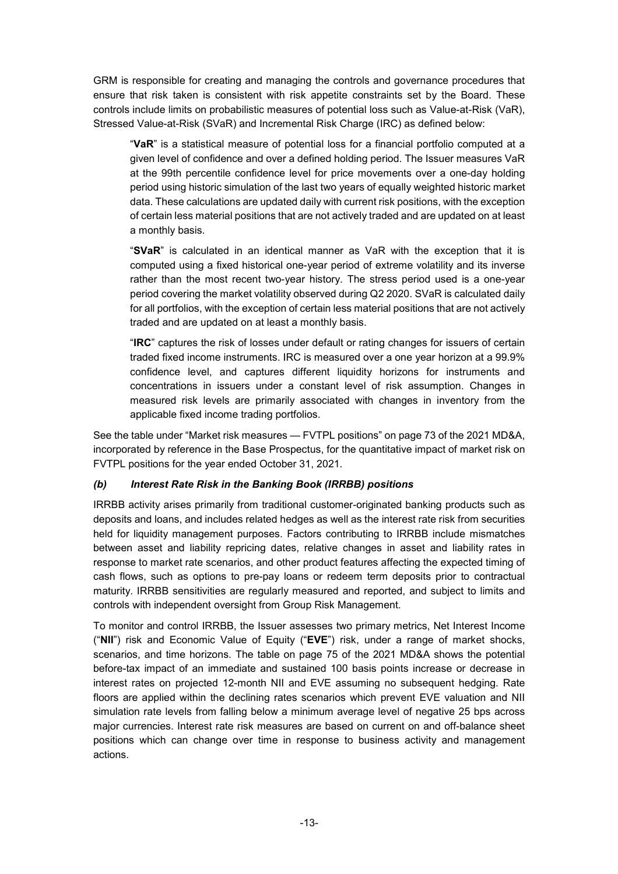GRM is responsible for creating and managing the controls and governance procedures that ensure that risk taken is consistent with risk appetite constraints set by the Board. These controls include limits on probabilistic measures of potential loss such as Value-at-Risk (VaR), Stressed Value-at-Risk (SVaR) and Incremental Risk Charge (IRC) as defined below:

"**VaR**" is a statistical measure of potential loss for a financial portfolio computed at a given level of confidence and over a defined holding period. The Issuer measures VaR at the 99th percentile confidence level for price movements over a one-day holding period using historic simulation of the last two years of equally weighted historic market data. These calculations are updated daily with current risk positions, with the exception of certain less material positions that are not actively traded and are updated on at least a monthly basis.

"**SVaR**" is calculated in an identical manner as VaR with the exception that it is computed using a fixed historical one-year period of extreme volatility and its inverse rather than the most recent two-year history. The stress period used is a one-year period covering the market volatility observed during Q2 2020. SVaR is calculated daily for all portfolios, with the exception of certain less material positions that are not actively traded and are updated on at least a monthly basis.

"**IRC**" captures the risk of losses under default or rating changes for issuers of certain traded fixed income instruments. IRC is measured over a one year horizon at a 99.9% confidence level, and captures different liquidity horizons for instruments and concentrations in issuers under a constant level of risk assumption. Changes in measured risk levels are primarily associated with changes in inventory from the applicable fixed income trading portfolios.

See the table under "Market risk measures — FVTPL positions" on page 73 of the 2021 MD&A, incorporated by reference in the Base Prospectus, for the quantitative impact of market risk on FVTPL positions for the year ended October 31, 2021.

### *(b) Interest Rate Risk in the Banking Book (IRRBB) positions*

IRRBB activity arises primarily from traditional customer-originated banking products such as deposits and loans, and includes related hedges as well as the interest rate risk from securities held for liquidity management purposes. Factors contributing to IRRBB include mismatches between asset and liability repricing dates, relative changes in asset and liability rates in response to market rate scenarios, and other product features affecting the expected timing of cash flows, such as options to pre-pay loans or redeem term deposits prior to contractual maturity. IRRBB sensitivities are regularly measured and reported, and subject to limits and controls with independent oversight from Group Risk Management.

To monitor and control IRRBB, the Issuer assesses two primary metrics, Net Interest Income ("**NII**") risk and Economic Value of Equity ("**EVE**") risk, under a range of market shocks, scenarios, and time horizons. The table on page 75 of the 2021 MD&A shows the potential before-tax impact of an immediate and sustained 100 basis points increase or decrease in interest rates on projected 12-month NII and EVE assuming no subsequent hedging. Rate floors are applied within the declining rates scenarios which prevent EVE valuation and NII simulation rate levels from falling below a minimum average level of negative 25 bps across major currencies. Interest rate risk measures are based on current on and off-balance sheet positions which can change over time in response to business activity and management actions.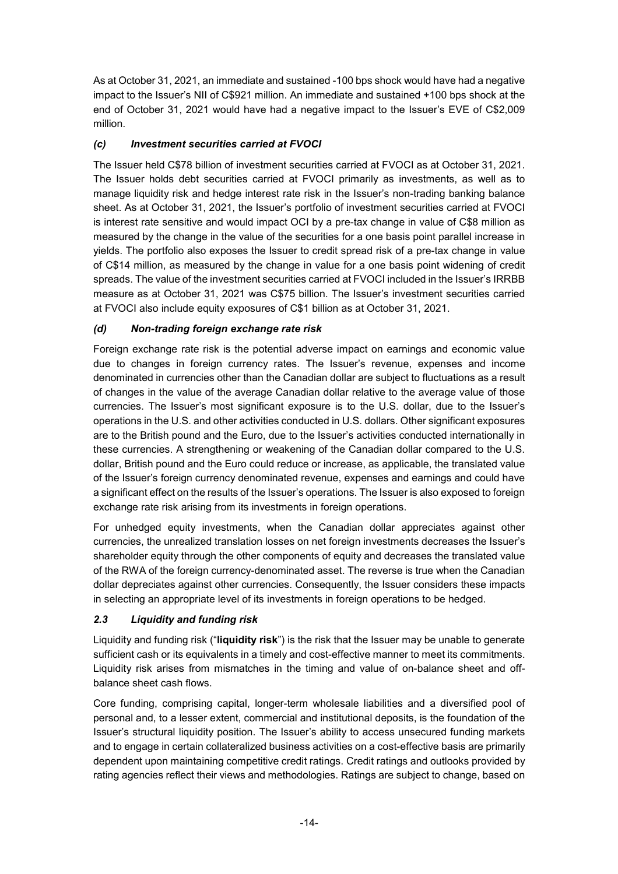As at October 31, 2021, an immediate and sustained -100 bps shock would have had a negative impact to the Issuer's NII of C\$921 million. An immediate and sustained +100 bps shock at the end of October 31, 2021 would have had a negative impact to the Issuer's EVE of C\$2,009 million.

# *(c) Investment securities carried at FVOCI*

The Issuer held C\$78 billion of investment securities carried at FVOCI as at October 31, 2021. The Issuer holds debt securities carried at FVOCI primarily as investments, as well as to manage liquidity risk and hedge interest rate risk in the Issuer's non-trading banking balance sheet. As at October 31, 2021, the Issuer's portfolio of investment securities carried at FVOCI is interest rate sensitive and would impact OCI by a pre-tax change in value of C\$8 million as measured by the change in the value of the securities for a one basis point parallel increase in yields. The portfolio also exposes the Issuer to credit spread risk of a pre-tax change in value of C\$14 million, as measured by the change in value for a one basis point widening of credit spreads. The value of the investment securities carried at FVOCI included in the Issuer's IRRBB measure as at October 31, 2021 was C\$75 billion. The Issuer's investment securities carried at FVOCI also include equity exposures of C\$1 billion as at October 31, 2021.

# *(d) Non-trading foreign exchange rate risk*

Foreign exchange rate risk is the potential adverse impact on earnings and economic value due to changes in foreign currency rates. The Issuer's revenue, expenses and income denominated in currencies other than the Canadian dollar are subject to fluctuations as a result of changes in the value of the average Canadian dollar relative to the average value of those currencies. The Issuer's most significant exposure is to the U.S. dollar, due to the Issuer's operations in the U.S. and other activities conducted in U.S. dollars. Other significant exposures are to the British pound and the Euro, due to the Issuer's activities conducted internationally in these currencies. A strengthening or weakening of the Canadian dollar compared to the U.S. dollar, British pound and the Euro could reduce or increase, as applicable, the translated value of the Issuer's foreign currency denominated revenue, expenses and earnings and could have a significant effect on the results of the Issuer's operations. The Issuer is also exposed to foreign exchange rate risk arising from its investments in foreign operations.

For unhedged equity investments, when the Canadian dollar appreciates against other currencies, the unrealized translation losses on net foreign investments decreases the Issuer's shareholder equity through the other components of equity and decreases the translated value of the RWA of the foreign currency-denominated asset. The reverse is true when the Canadian dollar depreciates against other currencies. Consequently, the Issuer considers these impacts in selecting an appropriate level of its investments in foreign operations to be hedged.

# *2.3 Liquidity and funding risk*

Liquidity and funding risk ("**liquidity risk**") is the risk that the Issuer may be unable to generate sufficient cash or its equivalents in a timely and cost-effective manner to meet its commitments. Liquidity risk arises from mismatches in the timing and value of on-balance sheet and offbalance sheet cash flows.

Core funding, comprising capital, longer-term wholesale liabilities and a diversified pool of personal and, to a lesser extent, commercial and institutional deposits, is the foundation of the Issuer's structural liquidity position. The Issuer's ability to access unsecured funding markets and to engage in certain collateralized business activities on a cost-effective basis are primarily dependent upon maintaining competitive credit ratings. Credit ratings and outlooks provided by rating agencies reflect their views and methodologies. Ratings are subject to change, based on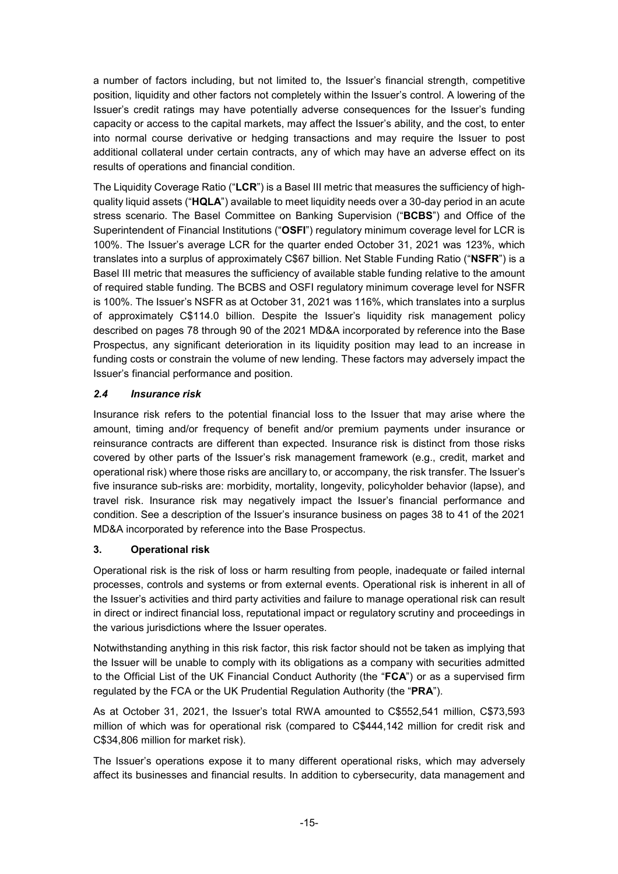a number of factors including, but not limited to, the Issuer's financial strength, competitive position, liquidity and other factors not completely within the Issuer's control. A lowering of the Issuer's credit ratings may have potentially adverse consequences for the Issuer's funding capacity or access to the capital markets, may affect the Issuer's ability, and the cost, to enter into normal course derivative or hedging transactions and may require the Issuer to post additional collateral under certain contracts, any of which may have an adverse effect on its results of operations and financial condition.

The Liquidity Coverage Ratio ("**LCR**") is a Basel III metric that measures the sufficiency of highquality liquid assets ("**HQLA**") available to meet liquidity needs over a 30-day period in an acute stress scenario. The Basel Committee on Banking Supervision ("**BCBS**") and Office of the Superintendent of Financial Institutions ("**OSFI**") regulatory minimum coverage level for LCR is 100%. The Issuer's average LCR for the quarter ended October 31, 2021 was 123%, which translates into a surplus of approximately C\$67 billion. Net Stable Funding Ratio ("**NSFR**") is a Basel III metric that measures the sufficiency of available stable funding relative to the amount of required stable funding. The BCBS and OSFI regulatory minimum coverage level for NSFR is 100%. The Issuer's NSFR as at October 31, 2021 was 116%, which translates into a surplus of approximately C\$114.0 billion. Despite the Issuer's liquidity risk management policy described on pages 78 through 90 of the 2021 MD&A incorporated by reference into the Base Prospectus, any significant deterioration in its liquidity position may lead to an increase in funding costs or constrain the volume of new lending. These factors may adversely impact the Issuer's financial performance and position.

# *2.4 Insurance risk*

Insurance risk refers to the potential financial loss to the Issuer that may arise where the amount, timing and/or frequency of benefit and/or premium payments under insurance or reinsurance contracts are different than expected. Insurance risk is distinct from those risks covered by other parts of the Issuer's risk management framework (e.g., credit, market and operational risk) where those risks are ancillary to, or accompany, the risk transfer. The Issuer's five insurance sub-risks are: morbidity, mortality, longevity, policyholder behavior (lapse), and travel risk. Insurance risk may negatively impact the Issuer's financial performance and condition. See a description of the Issuer's insurance business on pages 38 to 41 of the 2021 MD&A incorporated by reference into the Base Prospectus.

# **3. Operational risk**

Operational risk is the risk of loss or harm resulting from people, inadequate or failed internal processes, controls and systems or from external events. Operational risk is inherent in all of the Issuer's activities and third party activities and failure to manage operational risk can result in direct or indirect financial loss, reputational impact or regulatory scrutiny and proceedings in the various jurisdictions where the Issuer operates.

Notwithstanding anything in this risk factor, this risk factor should not be taken as implying that the Issuer will be unable to comply with its obligations as a company with securities admitted to the Official List of the UK Financial Conduct Authority (the "**FCA**") or as a supervised firm regulated by the FCA or the UK Prudential Regulation Authority (the "**PRA**").

As at October 31, 2021, the Issuer's total RWA amounted to C\$552,541 million, C\$73,593 million of which was for operational risk (compared to C\$444,142 million for credit risk and C\$34,806 million for market risk).

The Issuer's operations expose it to many different operational risks, which may adversely affect its businesses and financial results. In addition to cybersecurity, data management and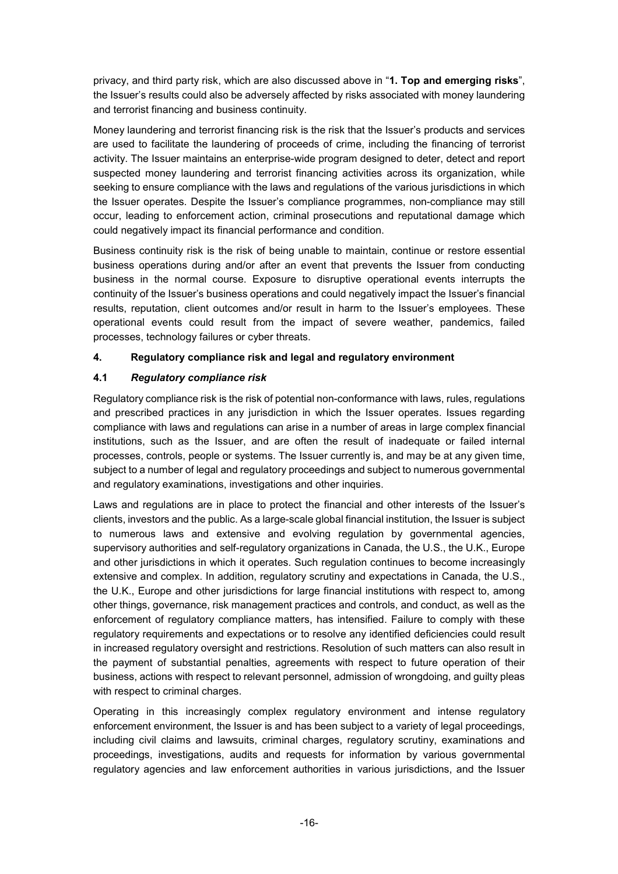privacy, and third party risk, which are also discussed above in "**1. Top and emerging risks**", the Issuer's results could also be adversely affected by risks associated with money laundering and terrorist financing and business continuity.

Money laundering and terrorist financing risk is the risk that the Issuer's products and services are used to facilitate the laundering of proceeds of crime, including the financing of terrorist activity. The Issuer maintains an enterprise-wide program designed to deter, detect and report suspected money laundering and terrorist financing activities across its organization, while seeking to ensure compliance with the laws and regulations of the various jurisdictions in which the Issuer operates. Despite the Issuer's compliance programmes, non-compliance may still occur, leading to enforcement action, criminal prosecutions and reputational damage which could negatively impact its financial performance and condition.

Business continuity risk is the risk of being unable to maintain, continue or restore essential business operations during and/or after an event that prevents the Issuer from conducting business in the normal course. Exposure to disruptive operational events interrupts the continuity of the Issuer's business operations and could negatively impact the Issuer's financial results, reputation, client outcomes and/or result in harm to the Issuer's employees. These operational events could result from the impact of severe weather, pandemics, failed processes, technology failures or cyber threats.

# **4. Regulatory compliance risk and legal and regulatory environment**

# **4.1** *Regulatory compliance risk*

Regulatory compliance risk is the risk of potential non-conformance with laws, rules, regulations and prescribed practices in any jurisdiction in which the Issuer operates. Issues regarding compliance with laws and regulations can arise in a number of areas in large complex financial institutions, such as the Issuer, and are often the result of inadequate or failed internal processes, controls, people or systems. The Issuer currently is, and may be at any given time, subject to a number of legal and regulatory proceedings and subject to numerous governmental and regulatory examinations, investigations and other inquiries.

Laws and regulations are in place to protect the financial and other interests of the Issuer's clients, investors and the public. As a large-scale global financial institution, the Issuer is subject to numerous laws and extensive and evolving regulation by governmental agencies, supervisory authorities and self-regulatory organizations in Canada, the U.S., the U.K., Europe and other jurisdictions in which it operates. Such regulation continues to become increasingly extensive and complex. In addition, regulatory scrutiny and expectations in Canada, the U.S., the U.K., Europe and other jurisdictions for large financial institutions with respect to, among other things, governance, risk management practices and controls, and conduct, as well as the enforcement of regulatory compliance matters, has intensified. Failure to comply with these regulatory requirements and expectations or to resolve any identified deficiencies could result in increased regulatory oversight and restrictions. Resolution of such matters can also result in the payment of substantial penalties, agreements with respect to future operation of their business, actions with respect to relevant personnel, admission of wrongdoing, and guilty pleas with respect to criminal charges.

Operating in this increasingly complex regulatory environment and intense regulatory enforcement environment, the Issuer is and has been subject to a variety of legal proceedings, including civil claims and lawsuits, criminal charges, regulatory scrutiny, examinations and proceedings, investigations, audits and requests for information by various governmental regulatory agencies and law enforcement authorities in various jurisdictions, and the Issuer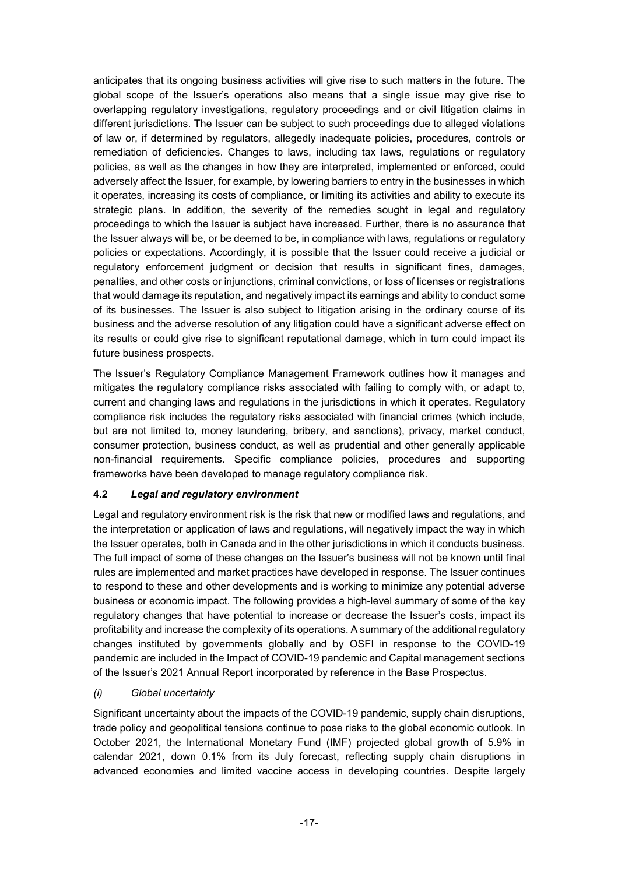anticipates that its ongoing business activities will give rise to such matters in the future. The global scope of the Issuer's operations also means that a single issue may give rise to overlapping regulatory investigations, regulatory proceedings and or civil litigation claims in different jurisdictions. The Issuer can be subject to such proceedings due to alleged violations of law or, if determined by regulators, allegedly inadequate policies, procedures, controls or remediation of deficiencies. Changes to laws, including tax laws, regulations or regulatory policies, as well as the changes in how they are interpreted, implemented or enforced, could adversely affect the Issuer, for example, by lowering barriers to entry in the businesses in which it operates, increasing its costs of compliance, or limiting its activities and ability to execute its strategic plans. In addition, the severity of the remedies sought in legal and regulatory proceedings to which the Issuer is subject have increased. Further, there is no assurance that the Issuer always will be, or be deemed to be, in compliance with laws, regulations or regulatory policies or expectations. Accordingly, it is possible that the Issuer could receive a judicial or regulatory enforcement judgment or decision that results in significant fines, damages, penalties, and other costs or injunctions, criminal convictions, or loss of licenses or registrations that would damage its reputation, and negatively impact its earnings and ability to conduct some of its businesses. The Issuer is also subject to litigation arising in the ordinary course of its business and the adverse resolution of any litigation could have a significant adverse effect on its results or could give rise to significant reputational damage, which in turn could impact its future business prospects.

The Issuer's Regulatory Compliance Management Framework outlines how it manages and mitigates the regulatory compliance risks associated with failing to comply with, or adapt to, current and changing laws and regulations in the jurisdictions in which it operates. Regulatory compliance risk includes the regulatory risks associated with financial crimes (which include, but are not limited to, money laundering, bribery, and sanctions), privacy, market conduct, consumer protection, business conduct, as well as prudential and other generally applicable non-financial requirements. Specific compliance policies, procedures and supporting frameworks have been developed to manage regulatory compliance risk.

# **4.2** *Legal and regulatory environment*

Legal and regulatory environment risk is the risk that new or modified laws and regulations, and the interpretation or application of laws and regulations, will negatively impact the way in which the Issuer operates, both in Canada and in the other jurisdictions in which it conducts business. The full impact of some of these changes on the Issuer's business will not be known until final rules are implemented and market practices have developed in response. The Issuer continues to respond to these and other developments and is working to minimize any potential adverse business or economic impact. The following provides a high-level summary of some of the key regulatory changes that have potential to increase or decrease the Issuer's costs, impact its profitability and increase the complexity of its operations. A summary of the additional regulatory changes instituted by governments globally and by OSFI in response to the COVID-19 pandemic are included in the Impact of COVID-19 pandemic and Capital management sections of the Issuer's 2021 Annual Report incorporated by reference in the Base Prospectus.

### *(i) Global uncertainty*

Significant uncertainty about the impacts of the COVID-19 pandemic, supply chain disruptions, trade policy and geopolitical tensions continue to pose risks to the global economic outlook. In October 2021, the International Monetary Fund (IMF) projected global growth of 5.9% in calendar 2021, down 0.1% from its July forecast, reflecting supply chain disruptions in advanced economies and limited vaccine access in developing countries. Despite largely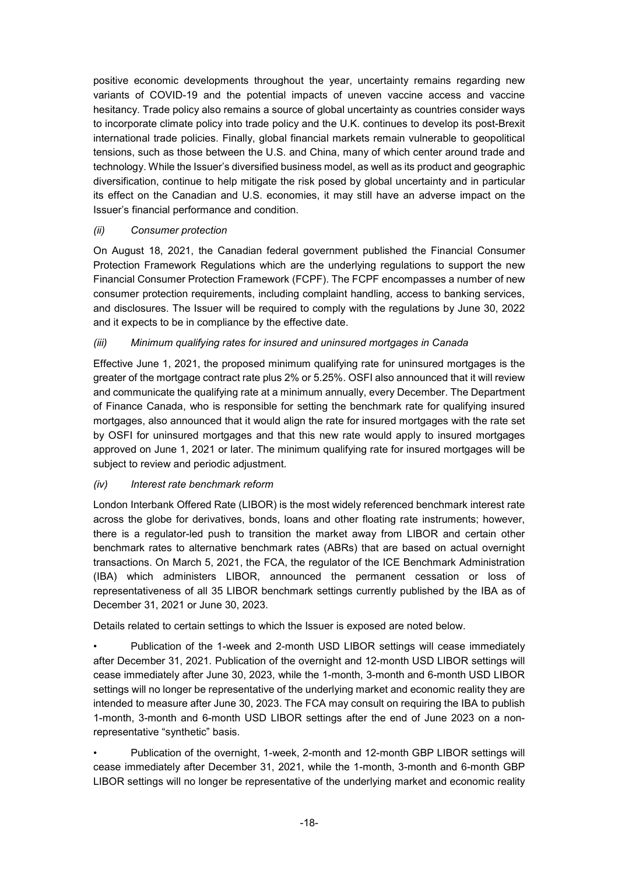positive economic developments throughout the year, uncertainty remains regarding new variants of COVID-19 and the potential impacts of uneven vaccine access and vaccine hesitancy. Trade policy also remains a source of global uncertainty as countries consider ways to incorporate climate policy into trade policy and the U.K. continues to develop its post-Brexit international trade policies. Finally, global financial markets remain vulnerable to geopolitical tensions, such as those between the U.S. and China, many of which center around trade and technology. While the Issuer's diversified business model, as well as its product and geographic diversification, continue to help mitigate the risk posed by global uncertainty and in particular its effect on the Canadian and U.S. economies, it may still have an adverse impact on the Issuer's financial performance and condition.

### *(ii) Consumer protection*

On August 18, 2021, the Canadian federal government published the Financial Consumer Protection Framework Regulations which are the underlying regulations to support the new Financial Consumer Protection Framework (FCPF). The FCPF encompasses a number of new consumer protection requirements, including complaint handling, access to banking services, and disclosures. The Issuer will be required to comply with the regulations by June 30, 2022 and it expects to be in compliance by the effective date.

# *(iii) Minimum qualifying rates for insured and uninsured mortgages in Canada*

Effective June 1, 2021, the proposed minimum qualifying rate for uninsured mortgages is the greater of the mortgage contract rate plus 2% or 5.25%. OSFI also announced that it will review and communicate the qualifying rate at a minimum annually, every December. The Department of Finance Canada, who is responsible for setting the benchmark rate for qualifying insured mortgages, also announced that it would align the rate for insured mortgages with the rate set by OSFI for uninsured mortgages and that this new rate would apply to insured mortgages approved on June 1, 2021 or later. The minimum qualifying rate for insured mortgages will be subject to review and periodic adjustment.

### *(iv) Interest rate benchmark reform*

London Interbank Offered Rate (LIBOR) is the most widely referenced benchmark interest rate across the globe for derivatives, bonds, loans and other floating rate instruments; however, there is a regulator-led push to transition the market away from LIBOR and certain other benchmark rates to alternative benchmark rates (ABRs) that are based on actual overnight transactions. On March 5, 2021, the FCA, the regulator of the ICE Benchmark Administration (IBA) which administers LIBOR, announced the permanent cessation or loss of representativeness of all 35 LIBOR benchmark settings currently published by the IBA as of December 31, 2021 or June 30, 2023.

Details related to certain settings to which the Issuer is exposed are noted below.

• Publication of the 1-week and 2-month USD LIBOR settings will cease immediately after December 31, 2021. Publication of the overnight and 12-month USD LIBOR settings will cease immediately after June 30, 2023, while the 1-month, 3-month and 6-month USD LIBOR settings will no longer be representative of the underlying market and economic reality they are intended to measure after June 30, 2023. The FCA may consult on requiring the IBA to publish 1-month, 3-month and 6-month USD LIBOR settings after the end of June 2023 on a nonrepresentative "synthetic" basis.

• Publication of the overnight, 1-week, 2-month and 12-month GBP LIBOR settings will cease immediately after December 31, 2021, while the 1-month, 3-month and 6-month GBP LIBOR settings will no longer be representative of the underlying market and economic reality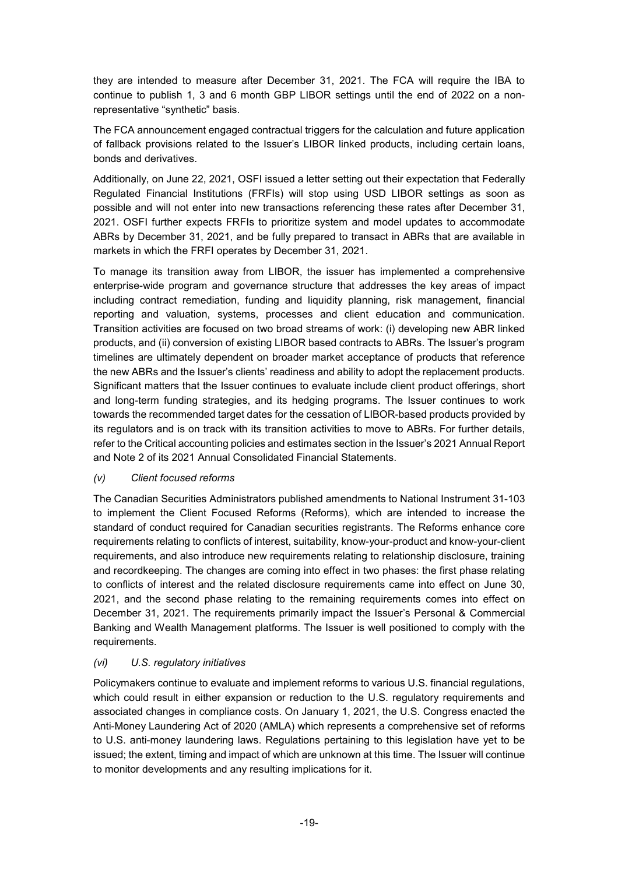they are intended to measure after December 31, 2021. The FCA will require the IBA to continue to publish 1, 3 and 6 month GBP LIBOR settings until the end of 2022 on a nonrepresentative "synthetic" basis.

The FCA announcement engaged contractual triggers for the calculation and future application of fallback provisions related to the Issuer's LIBOR linked products, including certain loans, bonds and derivatives.

Additionally, on June 22, 2021, OSFI issued a letter setting out their expectation that Federally Regulated Financial Institutions (FRFIs) will stop using USD LIBOR settings as soon as possible and will not enter into new transactions referencing these rates after December 31, 2021. OSFI further expects FRFIs to prioritize system and model updates to accommodate ABRs by December 31, 2021, and be fully prepared to transact in ABRs that are available in markets in which the FRFI operates by December 31, 2021.

To manage its transition away from LIBOR, the issuer has implemented a comprehensive enterprise-wide program and governance structure that addresses the key areas of impact including contract remediation, funding and liquidity planning, risk management, financial reporting and valuation, systems, processes and client education and communication. Transition activities are focused on two broad streams of work: (i) developing new ABR linked products, and (ii) conversion of existing LIBOR based contracts to ABRs. The Issuer's program timelines are ultimately dependent on broader market acceptance of products that reference the new ABRs and the Issuer's clients' readiness and ability to adopt the replacement products. Significant matters that the Issuer continues to evaluate include client product offerings, short and long-term funding strategies, and its hedging programs. The Issuer continues to work towards the recommended target dates for the cessation of LIBOR-based products provided by its regulators and is on track with its transition activities to move to ABRs. For further details, refer to the Critical accounting policies and estimates section in the Issuer's 2021 Annual Report and Note 2 of its 2021 Annual Consolidated Financial Statements.

### *(v) Client focused reforms*

The Canadian Securities Administrators published amendments to National Instrument 31-103 to implement the Client Focused Reforms (Reforms), which are intended to increase the standard of conduct required for Canadian securities registrants. The Reforms enhance core requirements relating to conflicts of interest, suitability, know-your-product and know-your-client requirements, and also introduce new requirements relating to relationship disclosure, training and recordkeeping. The changes are coming into effect in two phases: the first phase relating to conflicts of interest and the related disclosure requirements came into effect on June 30, 2021, and the second phase relating to the remaining requirements comes into effect on December 31, 2021. The requirements primarily impact the Issuer's Personal & Commercial Banking and Wealth Management platforms. The Issuer is well positioned to comply with the requirements.

### *(vi) U.S. regulatory initiatives*

Policymakers continue to evaluate and implement reforms to various U.S. financial regulations, which could result in either expansion or reduction to the U.S. regulatory requirements and associated changes in compliance costs. On January 1, 2021, the U.S. Congress enacted the Anti-Money Laundering Act of 2020 (AMLA) which represents a comprehensive set of reforms to U.S. anti-money laundering laws. Regulations pertaining to this legislation have yet to be issued; the extent, timing and impact of which are unknown at this time. The Issuer will continue to monitor developments and any resulting implications for it.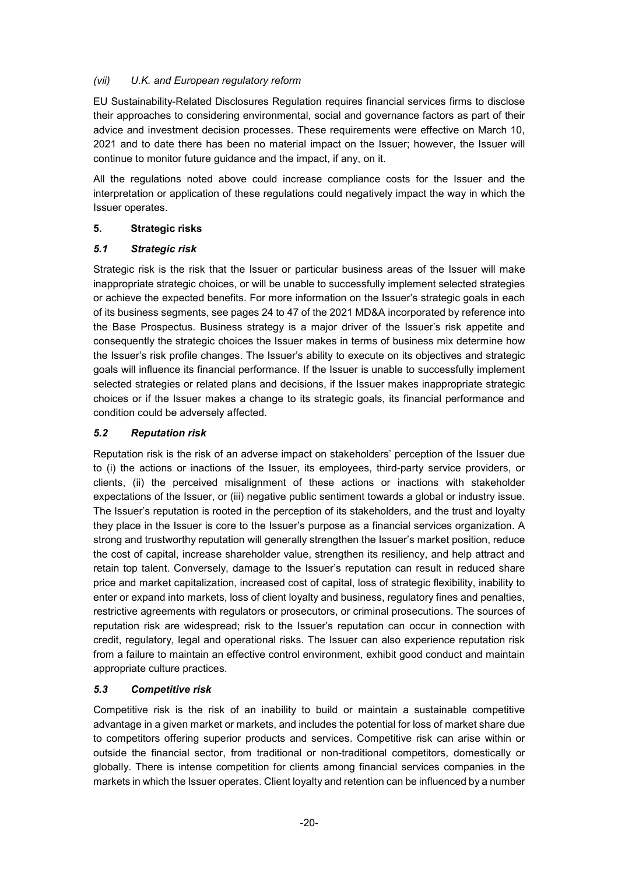### *(vii) U.K. and European regulatory reform*

EU Sustainability-Related Disclosures Regulation requires financial services firms to disclose their approaches to considering environmental, social and governance factors as part of their advice and investment decision processes. These requirements were effective on March 10, 2021 and to date there has been no material impact on the Issuer; however, the Issuer will continue to monitor future guidance and the impact, if any, on it.

All the regulations noted above could increase compliance costs for the Issuer and the interpretation or application of these regulations could negatively impact the way in which the Issuer operates.

### **5. Strategic risks**

### *5.1 Strategic risk*

Strategic risk is the risk that the Issuer or particular business areas of the Issuer will make inappropriate strategic choices, or will be unable to successfully implement selected strategies or achieve the expected benefits. For more information on the Issuer's strategic goals in each of its business segments, see pages 24 to 47 of the 2021 MD&A incorporated by reference into the Base Prospectus. Business strategy is a major driver of the Issuer's risk appetite and consequently the strategic choices the Issuer makes in terms of business mix determine how the Issuer's risk profile changes. The Issuer's ability to execute on its objectives and strategic goals will influence its financial performance. If the Issuer is unable to successfully implement selected strategies or related plans and decisions, if the Issuer makes inappropriate strategic choices or if the Issuer makes a change to its strategic goals, its financial performance and condition could be adversely affected.

### *5.2 Reputation risk*

Reputation risk is the risk of an adverse impact on stakeholders' perception of the Issuer due to (i) the actions or inactions of the Issuer, its employees, third-party service providers, or clients, (ii) the perceived misalignment of these actions or inactions with stakeholder expectations of the Issuer, or (iii) negative public sentiment towards a global or industry issue. The Issuer's reputation is rooted in the perception of its stakeholders, and the trust and loyalty they place in the Issuer is core to the Issuer's purpose as a financial services organization. A strong and trustworthy reputation will generally strengthen the Issuer's market position, reduce the cost of capital, increase shareholder value, strengthen its resiliency, and help attract and retain top talent. Conversely, damage to the Issuer's reputation can result in reduced share price and market capitalization, increased cost of capital, loss of strategic flexibility, inability to enter or expand into markets, loss of client loyalty and business, regulatory fines and penalties, restrictive agreements with regulators or prosecutors, or criminal prosecutions. The sources of reputation risk are widespread; risk to the Issuer's reputation can occur in connection with credit, regulatory, legal and operational risks. The Issuer can also experience reputation risk from a failure to maintain an effective control environment, exhibit good conduct and maintain appropriate culture practices.

### *5.3 Competitive risk*

Competitive risk is the risk of an inability to build or maintain a sustainable competitive advantage in a given market or markets, and includes the potential for loss of market share due to competitors offering superior products and services. Competitive risk can arise within or outside the financial sector, from traditional or non-traditional competitors, domestically or globally. There is intense competition for clients among financial services companies in the markets in which the Issuer operates. Client loyalty and retention can be influenced by a number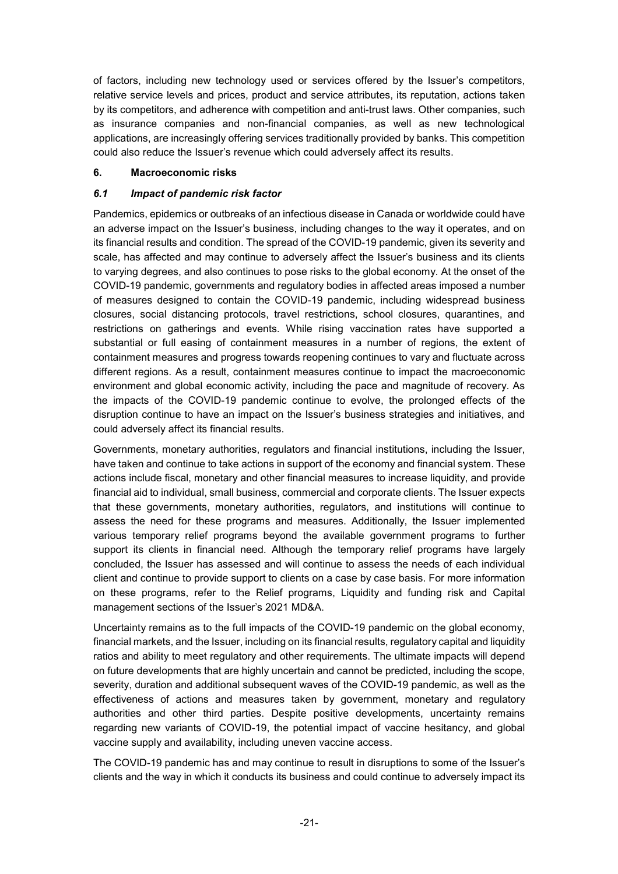of factors, including new technology used or services offered by the Issuer's competitors, relative service levels and prices, product and service attributes, its reputation, actions taken by its competitors, and adherence with competition and anti-trust laws. Other companies, such as insurance companies and non-financial companies, as well as new technological applications, are increasingly offering services traditionally provided by banks. This competition could also reduce the Issuer's revenue which could adversely affect its results.

#### **6. Macroeconomic risks**

#### *6.1 Impact of pandemic risk factor*

Pandemics, epidemics or outbreaks of an infectious disease in Canada or worldwide could have an adverse impact on the Issuer's business, including changes to the way it operates, and on its financial results and condition. The spread of the COVID-19 pandemic, given its severity and scale, has affected and may continue to adversely affect the Issuer's business and its clients to varying degrees, and also continues to pose risks to the global economy. At the onset of the COVID-19 pandemic, governments and regulatory bodies in affected areas imposed a number of measures designed to contain the COVID-19 pandemic, including widespread business closures, social distancing protocols, travel restrictions, school closures, quarantines, and restrictions on gatherings and events. While rising vaccination rates have supported a substantial or full easing of containment measures in a number of regions, the extent of containment measures and progress towards reopening continues to vary and fluctuate across different regions. As a result, containment measures continue to impact the macroeconomic environment and global economic activity, including the pace and magnitude of recovery. As the impacts of the COVID-19 pandemic continue to evolve, the prolonged effects of the disruption continue to have an impact on the Issuer's business strategies and initiatives, and could adversely affect its financial results.

Governments, monetary authorities, regulators and financial institutions, including the Issuer, have taken and continue to take actions in support of the economy and financial system. These actions include fiscal, monetary and other financial measures to increase liquidity, and provide financial aid to individual, small business, commercial and corporate clients. The Issuer expects that these governments, monetary authorities, regulators, and institutions will continue to assess the need for these programs and measures. Additionally, the Issuer implemented various temporary relief programs beyond the available government programs to further support its clients in financial need. Although the temporary relief programs have largely concluded, the Issuer has assessed and will continue to assess the needs of each individual client and continue to provide support to clients on a case by case basis. For more information on these programs, refer to the Relief programs, Liquidity and funding risk and Capital management sections of the Issuer's 2021 MD&A.

Uncertainty remains as to the full impacts of the COVID-19 pandemic on the global economy, financial markets, and the Issuer, including on its financial results, regulatory capital and liquidity ratios and ability to meet regulatory and other requirements. The ultimate impacts will depend on future developments that are highly uncertain and cannot be predicted, including the scope, severity, duration and additional subsequent waves of the COVID-19 pandemic, as well as the effectiveness of actions and measures taken by government, monetary and regulatory authorities and other third parties. Despite positive developments, uncertainty remains regarding new variants of COVID-19, the potential impact of vaccine hesitancy, and global vaccine supply and availability, including uneven vaccine access.

The COVID-19 pandemic has and may continue to result in disruptions to some of the Issuer's clients and the way in which it conducts its business and could continue to adversely impact its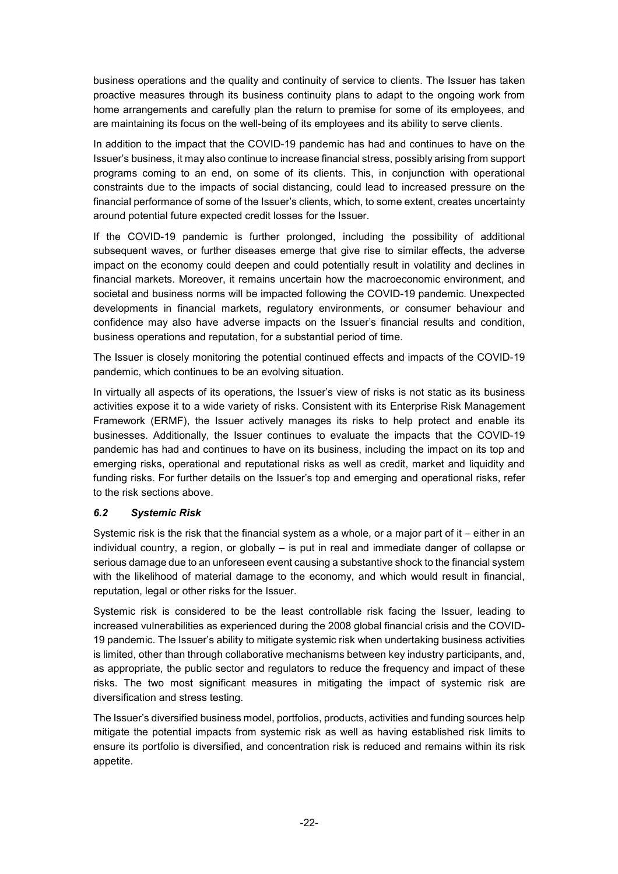business operations and the quality and continuity of service to clients. The Issuer has taken proactive measures through its business continuity plans to adapt to the ongoing work from home arrangements and carefully plan the return to premise for some of its employees, and are maintaining its focus on the well-being of its employees and its ability to serve clients.

In addition to the impact that the COVID-19 pandemic has had and continues to have on the Issuer's business, it may also continue to increase financial stress, possibly arising from support programs coming to an end, on some of its clients. This, in conjunction with operational constraints due to the impacts of social distancing, could lead to increased pressure on the financial performance of some of the Issuer's clients, which, to some extent, creates uncertainty around potential future expected credit losses for the Issuer.

If the COVID-19 pandemic is further prolonged, including the possibility of additional subsequent waves, or further diseases emerge that give rise to similar effects, the adverse impact on the economy could deepen and could potentially result in volatility and declines in financial markets. Moreover, it remains uncertain how the macroeconomic environment, and societal and business norms will be impacted following the COVID-19 pandemic. Unexpected developments in financial markets, regulatory environments, or consumer behaviour and confidence may also have adverse impacts on the Issuer's financial results and condition, business operations and reputation, for a substantial period of time.

The Issuer is closely monitoring the potential continued effects and impacts of the COVID-19 pandemic, which continues to be an evolving situation.

In virtually all aspects of its operations, the Issuer's view of risks is not static as its business activities expose it to a wide variety of risks. Consistent with its Enterprise Risk Management Framework (ERMF), the Issuer actively manages its risks to help protect and enable its businesses. Additionally, the Issuer continues to evaluate the impacts that the COVID-19 pandemic has had and continues to have on its business, including the impact on its top and emerging risks, operational and reputational risks as well as credit, market and liquidity and funding risks. For further details on the Issuer's top and emerging and operational risks, refer to the risk sections above.

### *6.2 Systemic Risk*

Systemic risk is the risk that the financial system as a whole, or a major part of it – either in an individual country, a region, or globally – is put in real and immediate danger of collapse or serious damage due to an unforeseen event causing a substantive shock to the financial system with the likelihood of material damage to the economy, and which would result in financial, reputation, legal or other risks for the Issuer.

Systemic risk is considered to be the least controllable risk facing the Issuer, leading to increased vulnerabilities as experienced during the 2008 global financial crisis and the COVID-19 pandemic. The Issuer's ability to mitigate systemic risk when undertaking business activities is limited, other than through collaborative mechanisms between key industry participants, and, as appropriate, the public sector and regulators to reduce the frequency and impact of these risks. The two most significant measures in mitigating the impact of systemic risk are diversification and stress testing.

The Issuer's diversified business model, portfolios, products, activities and funding sources help mitigate the potential impacts from systemic risk as well as having established risk limits to ensure its portfolio is diversified, and concentration risk is reduced and remains within its risk appetite.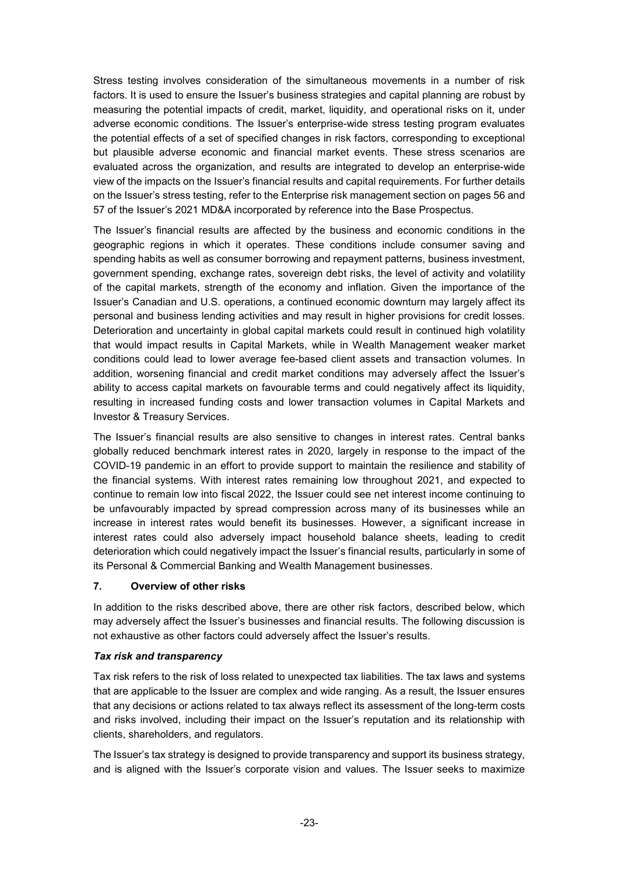Stress testing involves consideration of the simultaneous movements in a number of risk factors. It is used to ensure the Issuer's business strategies and capital planning are robust by measuring the potential impacts of credit, market, liquidity, and operational risks on it, under adverse economic conditions. The Issuer's enterprise-wide stress testing program evaluates the potential effects of a set of specified changes in risk factors, corresponding to exceptional but plausible adverse economic and financial market events. These stress scenarios are evaluated across the organization, and results are integrated to develop an enterprise-wide view of the impacts on the Issuer's financial results and capital requirements. For further details on the Issuer's stress testing, refer to the Enterprise risk management section on pages 56 and 57 of the Issuer's 2021 MD&A incorporated by reference into the Base Prospectus.

The Issuer's financial results are affected by the business and economic conditions in the geographic regions in which it operates. These conditions include consumer saving and spending habits as well as consumer borrowing and repayment patterns, business investment, government spending, exchange rates, sovereign debt risks, the level of activity and volatility of the capital markets, strength of the economy and inflation. Given the importance of the Issuer's Canadian and U.S. operations, a continued economic downturn may largely affect its personal and business lending activities and may result in higher provisions for credit losses. Deterioration and uncertainty in global capital markets could result in continued high volatility that would impact results in Capital Markets, while in Wealth Management weaker market conditions could lead to lower average fee-based client assets and transaction volumes. In addition, worsening financial and credit market conditions may adversely affect the Issuer's ability to access capital markets on favourable terms and could negatively affect its liquidity, resulting in increased funding costs and lower transaction volumes in Capital Markets and Investor & Treasury Services.

The Issuer's financial results are also sensitive to changes in interest rates. Central banks globally reduced benchmark interest rates in 2020, largely in response to the impact of the COVID-19 pandemic in an effort to provide support to maintain the resilience and stability of the financial systems. With interest rates remaining low throughout 2021, and expected to continue to remain low into fiscal 2022, the Issuer could see net interest income continuing to be unfavourably impacted by spread compression across many of its businesses while an increase in interest rates would benefit its businesses. However, a significant increase in interest rates could also adversely impact household balance sheets, leading to credit deterioration which could negatively impact the Issuer's financial results, particularly in some of its Personal & Commercial Banking and Wealth Management businesses.

### **7. Overview of other risks**

In addition to the risks described above, there are other risk factors, described below, which may adversely affect the Issuer's businesses and financial results. The following discussion is not exhaustive as other factors could adversely affect the Issuer's results.

#### *Tax risk and transparency*

Tax risk refers to the risk of loss related to unexpected tax liabilities. The tax laws and systems that are applicable to the Issuer are complex and wide ranging. As a result, the Issuer ensures that any decisions or actions related to tax always reflect its assessment of the long-term costs and risks involved, including their impact on the Issuer's reputation and its relationship with clients, shareholders, and regulators.

The Issuer's tax strategy is designed to provide transparency and support its business strategy, and is aligned with the Issuer's corporate vision and values. The Issuer seeks to maximize